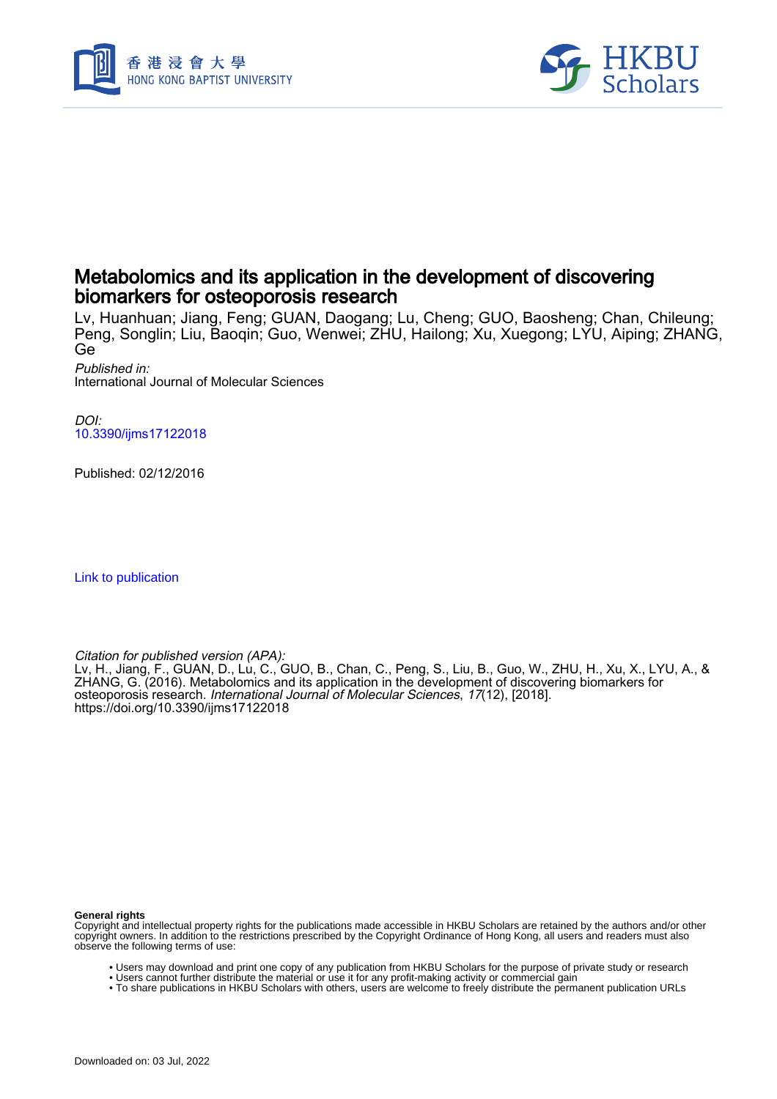



## Metabolomics and its application in the development of discovering biomarkers for osteoporosis research

Lv, Huanhuan; Jiang, Feng; GUAN, Daogang; Lu, Cheng; GUO, Baosheng; Chan, Chileung; Peng, Songlin; Liu, Baoqin; Guo, Wenwei; ZHU, Hailong; Xu, Xuegong; LYU, Aiping; ZHANG, Ge

Published in: International Journal of Molecular Sciences

DOI: [10.3390/ijms17122018](https://doi.org/10.3390/ijms17122018)

Published: 02/12/2016

[Link to publication](https://scholars.hkbu.edu.hk/en/publications/2d66d5dd-7a30-402d-86a8-bc04ca030d8e)

Citation for published version (APA):

Lv, H., Jiang, F., GUAN, D., Lu, C., GUO, B., Chan, C., Peng, S., Liu, B., Guo, W., ZHU, H., Xu, X., LYU, A., & ZHANG, G. (2016). Metabolomics and its application in the development of discovering biomarkers for osteoporosis research. International Journal of Molecular Sciences, 17(12), [2018]. <https://doi.org/10.3390/ijms17122018>

#### **General rights**

Downloaded on: 03 Jul, 2022

Copyright and intellectual property rights for the publications made accessible in HKBU Scholars are retained by the authors and/or other copyright owners. In addition to the restrictions prescribed by the Copyright Ordinance of Hong Kong, all users and readers must also observe the following terms of use:

- Users may download and print one copy of any publication from HKBU Scholars for the purpose of private study or research
- Users cannot further distribute the material or use it for any profit-making activity or commercial gain • To share publications in HKBU Scholars with others, users are welcome to freely distribute the permanent publication URLs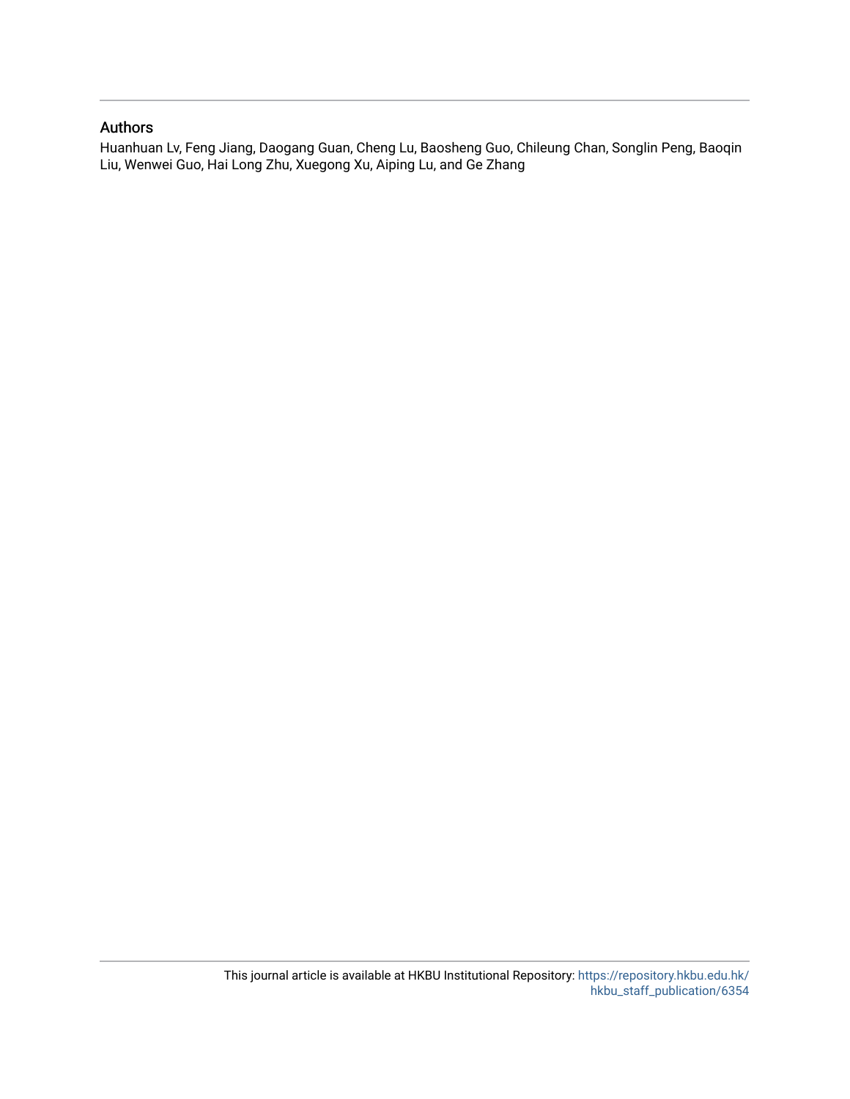### Authors

Huanhuan Lv, Feng Jiang, Daogang Guan, Cheng Lu, Baosheng Guo, Chileung Chan, Songlin Peng, Baoqin Liu, Wenwei Guo, Hai Long Zhu, Xuegong Xu, Aiping Lu, and Ge Zhang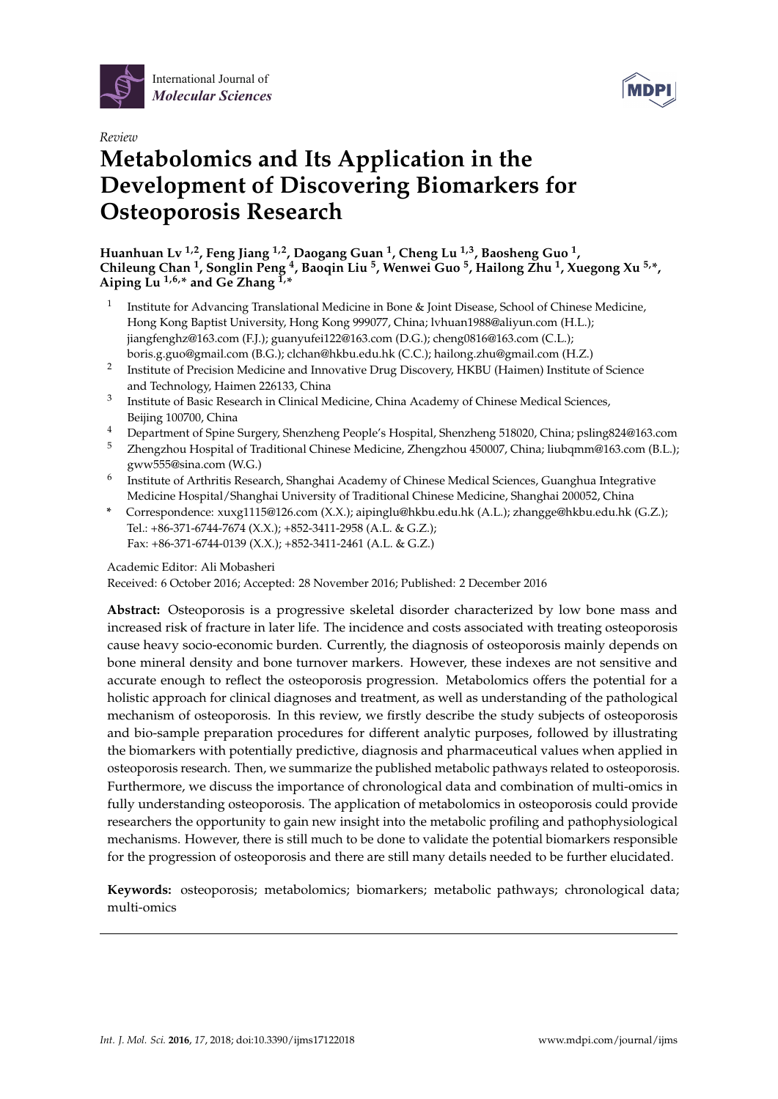



# *Review* **Metabolomics and Its Application in the Development of Discovering Biomarkers for Osteoporosis Research**

**Huanhuan Lv 1,2, Feng Jiang 1,2, Daogang Guan <sup>1</sup> , Cheng Lu 1,3, Baosheng Guo <sup>1</sup> , Chileung Chan <sup>1</sup> , Songlin Peng <sup>4</sup> , Baoqin Liu <sup>5</sup> , Wenwei Guo <sup>5</sup> , Hailong Zhu <sup>1</sup> , Xuegong Xu 5,\*,** Aiping  $\tilde{L}u^{1,6,*}$  and  $\tilde{G}e$  Zhang  $\tilde{L}^*$ 

- 1 Institute for Advancing Translational Medicine in Bone & Joint Disease, School of Chinese Medicine, Hong Kong Baptist University, Hong Kong 999077, China; lvhuan1988@aliyun.com (H.L.); jiangfenghz@163.com (F.J.); guanyufei122@163.com (D.G.); cheng0816@163.com (C.L.); boris.g.guo@gmail.com (B.G.); clchan@hkbu.edu.hk (C.C.); hailong.zhu@gmail.com (H.Z.)
- 2 Institute of Precision Medicine and Innovative Drug Discovery, HKBU (Haimen) Institute of Science and Technology, Haimen 226133, China
- 3 Institute of Basic Research in Clinical Medicine, China Academy of Chinese Medical Sciences, Beijing 100700, China
- <sup>4</sup> Department of Spine Surgery, Shenzheng People's Hospital, Shenzheng 518020, China; psling824@163.com
- <sup>5</sup> Zhengzhou Hospital of Traditional Chinese Medicine, Zhengzhou 450007, China; liubqmm@163.com (B.L.); gww555@sina.com (W.G.)
- 6 Institute of Arthritis Research, Shanghai Academy of Chinese Medical Sciences, Guanghua Integrative Medicine Hospital/Shanghai University of Traditional Chinese Medicine, Shanghai 200052, China
- **\*** Correspondence: xuxg1115@126.com (X.X.); aipinglu@hkbu.edu.hk (A.L.); zhangge@hkbu.edu.hk (G.Z.); Tel.: +86-371-6744-7674 (X.X.); +852-3411-2958 (A.L. & G.Z.); Fax: +86-371-6744-0139 (X.X.); +852-3411-2461 (A.L. & G.Z.)

### Academic Editor: Ali Mobasheri

Received: 6 October 2016; Accepted: 28 November 2016; Published: 2 December 2016

**Abstract:** Osteoporosis is a progressive skeletal disorder characterized by low bone mass and increased risk of fracture in later life. The incidence and costs associated with treating osteoporosis cause heavy socio-economic burden. Currently, the diagnosis of osteoporosis mainly depends on bone mineral density and bone turnover markers. However, these indexes are not sensitive and accurate enough to reflect the osteoporosis progression. Metabolomics offers the potential for a holistic approach for clinical diagnoses and treatment, as well as understanding of the pathological mechanism of osteoporosis. In this review, we firstly describe the study subjects of osteoporosis and bio-sample preparation procedures for different analytic purposes, followed by illustrating the biomarkers with potentially predictive, diagnosis and pharmaceutical values when applied in osteoporosis research. Then, we summarize the published metabolic pathways related to osteoporosis. Furthermore, we discuss the importance of chronological data and combination of multi-omics in fully understanding osteoporosis. The application of metabolomics in osteoporosis could provide researchers the opportunity to gain new insight into the metabolic profiling and pathophysiological mechanisms. However, there is still much to be done to validate the potential biomarkers responsible for the progression of osteoporosis and there are still many details needed to be further elucidated.

**Keywords:** osteoporosis; metabolomics; biomarkers; metabolic pathways; chronological data; multi-omics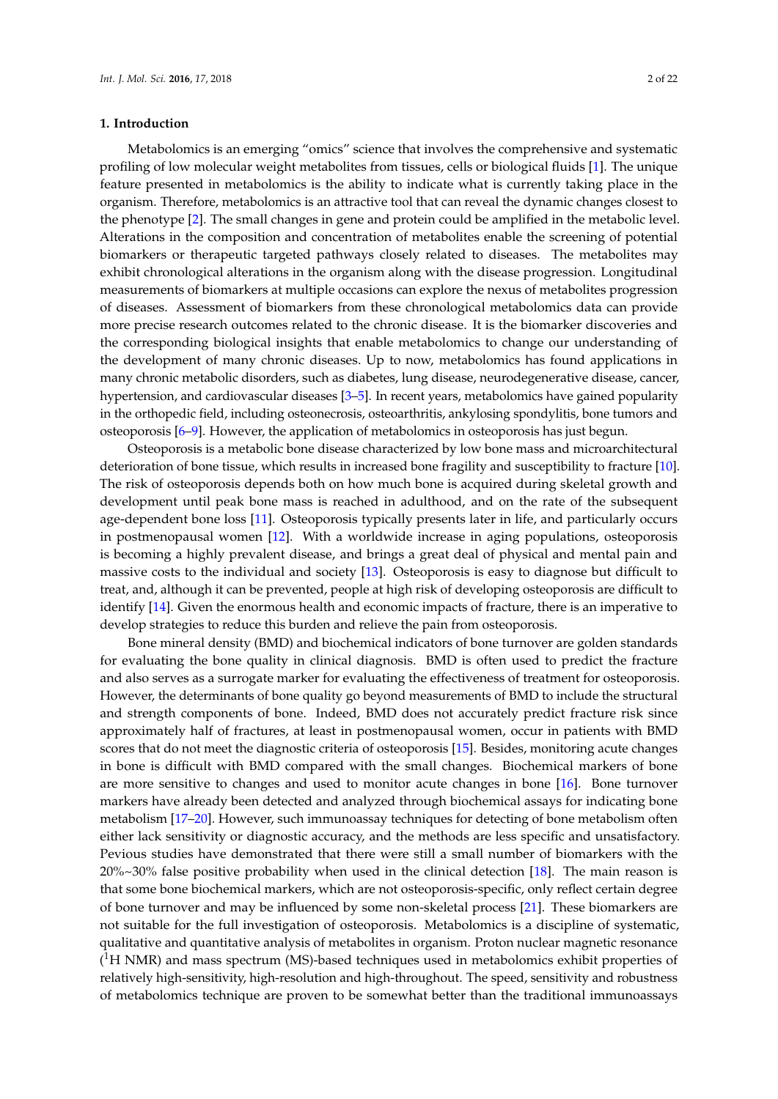### **1. Introduction**

Metabolomics is an emerging "omics" science that involves the comprehensive and systematic profiling of low molecular weight metabolites from tissues, cells or biological fluids [1]. The unique feature presented in metabolomics is the ability to indicate what is currently taking place in the organism. Therefore, metabolomics is an attractive tool that can reveal the dynamic changes closest to the phenotype [2]. The small changes in gene and protein could be amplified in the metabolic level. Alterations in the composition and concentration of metabolites enable the screening of potential biomarkers or therapeutic targeted pathways closely related to diseases. The metabolites may exhibit chronological alterations in the organism along with the disease progression. Longitudinal measurements of biomarkers at multiple occasions can explore the nexus of metabolites progression of diseases. Assessment of biomarkers from these chronological metabolomics data can provide more precise research outcomes related to the chronic disease. It is the biomarker discoveries and the corresponding biological insights that enable metabolomics to change our understanding of the development of many chronic diseases. Up to now, metabolomics has found applications in many chronic metabolic disorders, such as diabetes, lung disease, neurodegenerative disease, cancer, hypertension, and cardiovascular diseases [3–5]. In recent years, metabolomics have gained popularity in the orthopedic field, including osteonecrosis, osteoarthritis, ankylosing spondylitis, bone tumors and osteoporosis [6–9]. However, the application of metabolomics in osteoporosis has just begun.

Osteoporosis is a metabolic bone disease characterized by low bone mass and microarchitectural deterioration of bone tissue, which results in increased bone fragility and susceptibility to fracture [10]. The risk of osteoporosis depends both on how much bone is acquired during skeletal growth and development until peak bone mass is reached in adulthood, and on the rate of the subsequent age-dependent bone loss [11]. Osteoporosis typically presents later in life, and particularly occurs in postmenopausal women [12]. With a worldwide increase in aging populations, osteoporosis is becoming a highly prevalent disease, and brings a great deal of physical and mental pain and massive costs to the individual and society [13]. Osteoporosis is easy to diagnose but difficult to treat, and, although it can be prevented, people at high risk of developing osteoporosis are difficult to identify [14]. Given the enormous health and economic impacts of fracture, there is an imperative to develop strategies to reduce this burden and relieve the pain from osteoporosis.

Bone mineral density (BMD) and biochemical indicators of bone turnover are golden standards for evaluating the bone quality in clinical diagnosis. BMD is often used to predict the fracture and also serves as a surrogate marker for evaluating the effectiveness of treatment for osteoporosis. However, the determinants of bone quality go beyond measurements of BMD to include the structural and strength components of bone. Indeed, BMD does not accurately predict fracture risk since approximately half of fractures, at least in postmenopausal women, occur in patients with BMD scores that do not meet the diagnostic criteria of osteoporosis [15]. Besides, monitoring acute changes in bone is difficult with BMD compared with the small changes. Biochemical markers of bone are more sensitive to changes and used to monitor acute changes in bone [16]. Bone turnover markers have already been detected and analyzed through biochemical assays for indicating bone metabolism [17–20]. However, such immunoassay techniques for detecting of bone metabolism often either lack sensitivity or diagnostic accuracy, and the methods are less specific and unsatisfactory. Pevious studies have demonstrated that there were still a small number of biomarkers with the 20%~30% false positive probability when used in the clinical detection [18]. The main reason is that some bone biochemical markers, which are not osteoporosis-specific, only reflect certain degree of bone turnover and may be influenced by some non-skeletal process [21]. These biomarkers are not suitable for the full investigation of osteoporosis. Metabolomics is a discipline of systematic, qualitative and quantitative analysis of metabolites in organism. Proton nuclear magnetic resonance  $(^1H$  NMR) and mass spectrum (MS)-based techniques used in metabolomics exhibit properties of relatively high-sensitivity, high-resolution and high-throughout. The speed, sensitivity and robustness of metabolomics technique are proven to be somewhat better than the traditional immunoassays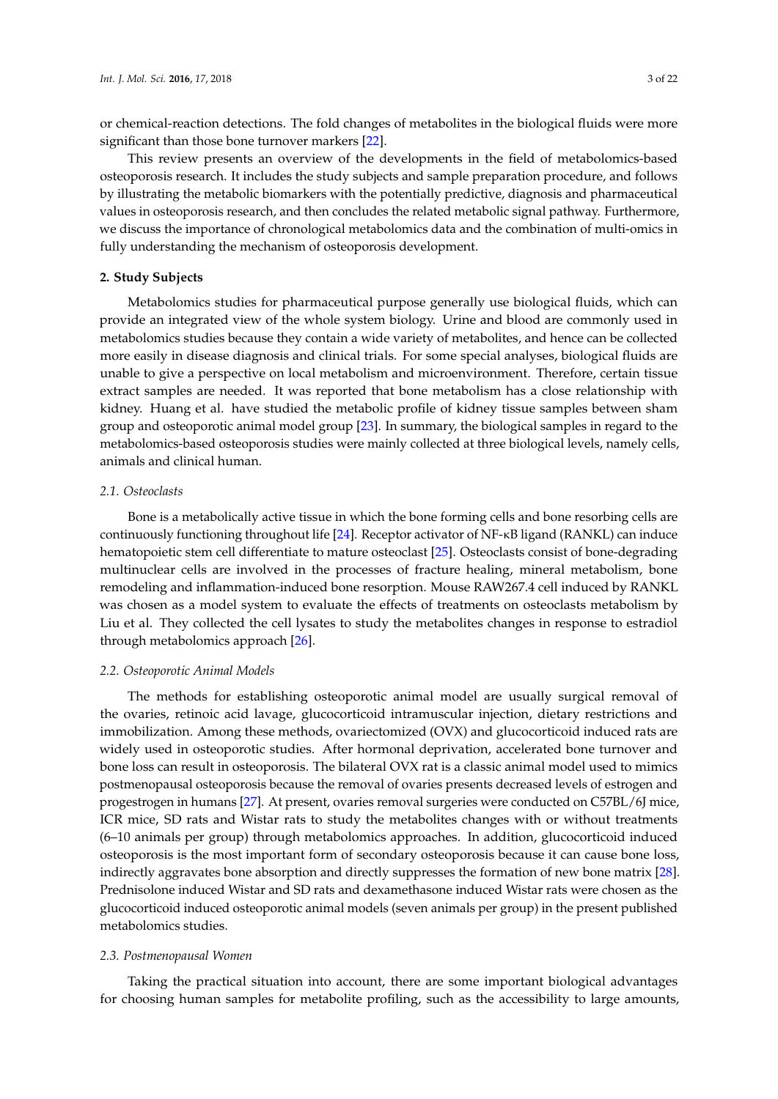or chemical-reaction detections. The fold changes of metabolites in the biological fluids were more significant than those bone turnover markers [22].

This review presents an overview of the developments in the field of metabolomics-based osteoporosis research. It includes the study subjects and sample preparation procedure, and follows by illustrating the metabolic biomarkers with the potentially predictive, diagnosis and pharmaceutical values in osteoporosis research, and then concludes the related metabolic signal pathway. Furthermore, we discuss the importance of chronological metabolomics data and the combination of multi-omics in fully understanding the mechanism of osteoporosis development.

### **2. Study Subjects**

Metabolomics studies for pharmaceutical purpose generally use biological fluids, which can provide an integrated view of the whole system biology. Urine and blood are commonly used in metabolomics studies because they contain a wide variety of metabolites, and hence can be collected more easily in disease diagnosis and clinical trials. For some special analyses, biological fluids are unable to give a perspective on local metabolism and microenvironment. Therefore, certain tissue extract samples are needed. It was reported that bone metabolism has a close relationship with kidney. Huang et al. have studied the metabolic profile of kidney tissue samples between sham group and osteoporotic animal model group [23]. In summary, the biological samples in regard to the metabolomics-based osteoporosis studies were mainly collected at three biological levels, namely cells, animals and clinical human.

### *2.1. Osteoclasts*

Bone is a metabolically active tissue in which the bone forming cells and bone resorbing cells are continuously functioning throughout life [24]. Receptor activator of NF-κB ligand (RANKL) can induce hematopoietic stem cell differentiate to mature osteoclast [25]. Osteoclasts consist of bone-degrading multinuclear cells are involved in the processes of fracture healing, mineral metabolism, bone remodeling and inflammation-induced bone resorption. Mouse RAW267.4 cell induced by RANKL was chosen as a model system to evaluate the effects of treatments on osteoclasts metabolism by Liu et al. They collected the cell lysates to study the metabolites changes in response to estradiol through metabolomics approach [26].

#### *2.2. Osteoporotic Animal Models*

The methods for establishing osteoporotic animal model are usually surgical removal of the ovaries, retinoic acid lavage, glucocorticoid intramuscular injection, dietary restrictions and immobilization. Among these methods, ovariectomized (OVX) and glucocorticoid induced rats are widely used in osteoporotic studies. After hormonal deprivation, accelerated bone turnover and bone loss can result in osteoporosis. The bilateral OVX rat is a classic animal model used to mimics postmenopausal osteoporosis because the removal of ovaries presents decreased levels of estrogen and progestrogen in humans [27]. At present, ovaries removal surgeries were conducted on C57BL/6J mice, ICR mice, SD rats and Wistar rats to study the metabolites changes with or without treatments (6–10 animals per group) through metabolomics approaches. In addition, glucocorticoid induced osteoporosis is the most important form of secondary osteoporosis because it can cause bone loss, indirectly aggravates bone absorption and directly suppresses the formation of new bone matrix [28]. Prednisolone induced Wistar and SD rats and dexamethasone induced Wistar rats were chosen as the glucocorticoid induced osteoporotic animal models (seven animals per group) in the present published metabolomics studies.

### *2.3. Postmenopausal Women*

Taking the practical situation into account, there are some important biological advantages for choosing human samples for metabolite profiling, such as the accessibility to large amounts,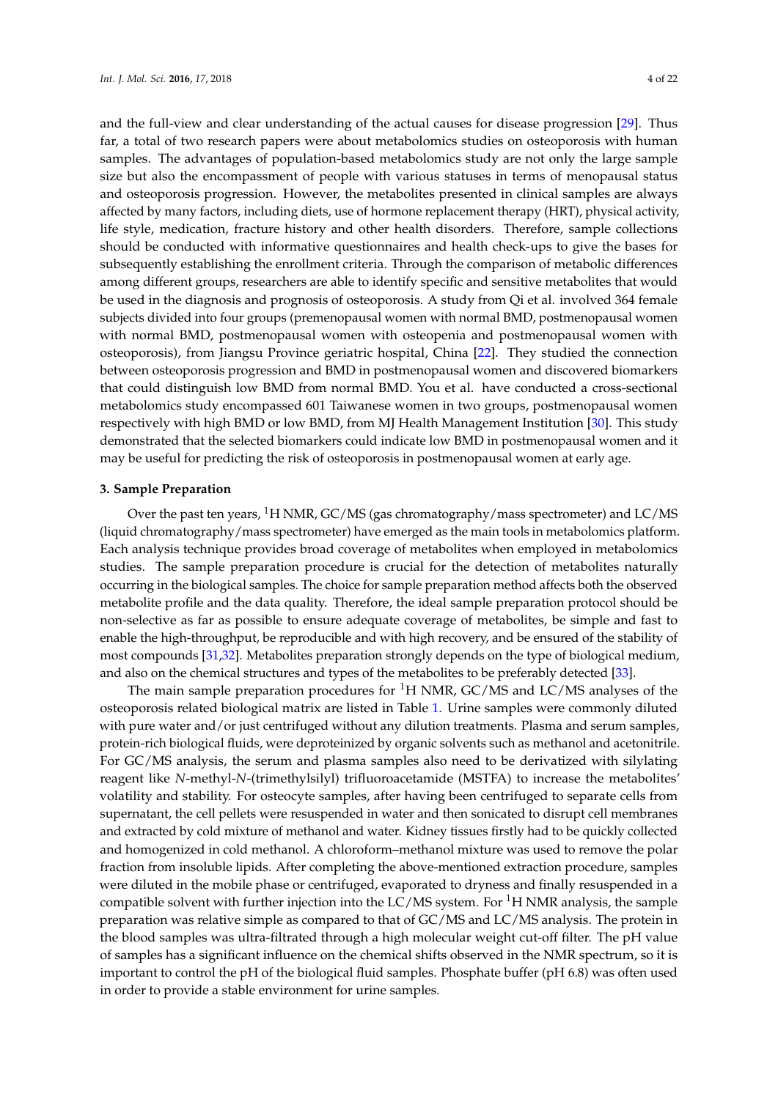and the full-view and clear understanding of the actual causes for disease progression [29]. Thus far, a total of two research papers were about metabolomics studies on osteoporosis with human samples. The advantages of population-based metabolomics study are not only the large sample size but also the encompassment of people with various statuses in terms of menopausal status and osteoporosis progression. However, the metabolites presented in clinical samples are always affected by many factors, including diets, use of hormone replacement therapy (HRT), physical activity, life style, medication, fracture history and other health disorders. Therefore, sample collections should be conducted with informative questionnaires and health check-ups to give the bases for subsequently establishing the enrollment criteria. Through the comparison of metabolic differences among different groups, researchers are able to identify specific and sensitive metabolites that would be used in the diagnosis and prognosis of osteoporosis. A study from Qi et al. involved 364 female subjects divided into four groups (premenopausal women with normal BMD, postmenopausal women with normal BMD, postmenopausal women with osteopenia and postmenopausal women with osteoporosis), from Jiangsu Province geriatric hospital, China [22]. They studied the connection between osteoporosis progression and BMD in postmenopausal women and discovered biomarkers that could distinguish low BMD from normal BMD. You et al. have conducted a cross-sectional metabolomics study encompassed 601 Taiwanese women in two groups, postmenopausal women respectively with high BMD or low BMD, from MJ Health Management Institution [30]. This study demonstrated that the selected biomarkers could indicate low BMD in postmenopausal women and it may be useful for predicting the risk of osteoporosis in postmenopausal women at early age.

#### **3. Sample Preparation**

Over the past ten years, <sup>1</sup>H NMR, GC/MS (gas chromatography/mass spectrometer) and LC/MS (liquid chromatography/mass spectrometer) have emerged as the main tools in metabolomics platform. Each analysis technique provides broad coverage of metabolites when employed in metabolomics studies. The sample preparation procedure is crucial for the detection of metabolites naturally occurring in the biological samples. The choice for sample preparation method affects both the observed metabolite profile and the data quality. Therefore, the ideal sample preparation protocol should be non-selective as far as possible to ensure adequate coverage of metabolites, be simple and fast to enable the high-throughput, be reproducible and with high recovery, and be ensured of the stability of most compounds [31,32]. Metabolites preparation strongly depends on the type of biological medium, and also on the chemical structures and types of the metabolites to be preferably detected [33].

The main sample preparation procedures for  ${}^{1}H$  NMR, GC/MS and LC/MS analyses of the osteoporosis related biological matrix are listed in Table 1. Urine samples were commonly diluted with pure water and/or just centrifuged without any dilution treatments. Plasma and serum samples, protein-rich biological fluids, were deproteinized by organic solvents such as methanol and acetonitrile. For GC/MS analysis, the serum and plasma samples also need to be derivatized with silylating reagent like *N*-methyl-*N*-(trimethylsilyl) trifluoroacetamide (MSTFA) to increase the metabolites' volatility and stability. For osteocyte samples, after having been centrifuged to separate cells from supernatant, the cell pellets were resuspended in water and then sonicated to disrupt cell membranes and extracted by cold mixture of methanol and water. Kidney tissues firstly had to be quickly collected and homogenized in cold methanol. A chloroform–methanol mixture was used to remove the polar fraction from insoluble lipids. After completing the above-mentioned extraction procedure, samples were diluted in the mobile phase or centrifuged, evaporated to dryness and finally resuspended in a compatible solvent with further injection into the  $LC/MS$  system. For  ${}^{1}H$  NMR analysis, the sample preparation was relative simple as compared to that of GC/MS and LC/MS analysis. The protein in the blood samples was ultra-filtrated through a high molecular weight cut-off filter. The pH value of samples has a significant influence on the chemical shifts observed in the NMR spectrum, so it is important to control the pH of the biological fluid samples. Phosphate buffer (pH 6.8) was often used in order to provide a stable environment for urine samples.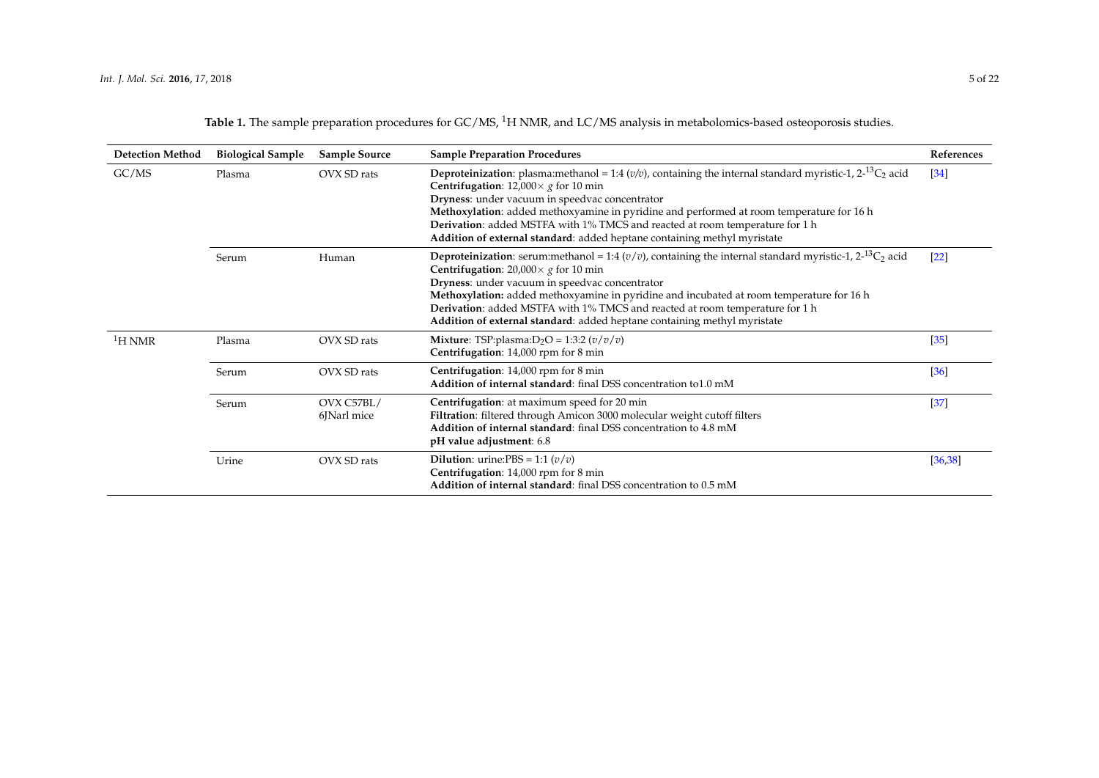Table 1. The sample preparation procedures for GC/MS, <sup>1</sup>H NMR, and LC/MS analysis in metabolomics-based osteoporosis studies.

| <b>Detection Method</b> | <b>Biological Sample</b> | Sample Source             | <b>Sample Preparation Procedures</b>                                                                                                                                                                                                                                                                                                                                                                                                                                                                                 | References        |
|-------------------------|--------------------------|---------------------------|----------------------------------------------------------------------------------------------------------------------------------------------------------------------------------------------------------------------------------------------------------------------------------------------------------------------------------------------------------------------------------------------------------------------------------------------------------------------------------------------------------------------|-------------------|
| GC/MS                   | Plasma                   | OVX SD rats               | <b>Deproteinization</b> : plasma:methanol = 1:4 ( $v/v$ ), containing the internal standard myristic-1, 2- <sup>13</sup> C <sub>2</sub> acid<br><b>Centrifugation:</b> $12,000 \times g$ for 10 min<br>Dryness: under vacuum in speedvac concentrator<br>Methoxylation: added methoxyamine in pyridine and performed at room temperature for 16 h<br><b>Derivation:</b> added MSTFA with 1% TMCS and reacted at room temperature for 1 h<br>Addition of external standard: added heptane containing methyl myristate | $\left[34\right]$ |
|                         | Serum                    | Human                     | <b>Deproteinization</b> : serum:methanol = 1:4 ( $v/v$ ), containing the internal standard myristic-1, 2- <sup>13</sup> C <sub>2</sub> acid<br><b>Centrifugation:</b> 20,000 $\times$ g for 10 min<br>Dryness: under vacuum in speedvac concentrator<br>Methoxylation: added methoxyamine in pyridine and incubated at room temperature for 16 h<br><b>Derivation:</b> added MSTFA with 1% TMCS and reacted at room temperature for 1 h<br>Addition of external standard: added heptane containing methyl myristate  | $[22]$            |
| ${}^{1}$ H NMR          | Plasma                   | OVX SD rats               | <b>Mixture:</b> TSP:plasma: $D_2O = 1:3:2 (v/v/v)$<br>Centrifugation: 14,000 rpm for 8 min                                                                                                                                                                                                                                                                                                                                                                                                                           | $[35]$            |
|                         | Serum                    | OVX SD rats               | Centrifugation: 14,000 rpm for 8 min<br>Addition of internal standard: final DSS concentration to1.0 mM                                                                                                                                                                                                                                                                                                                                                                                                              | $[36]$            |
|                         | Serum                    | OVX C57BL/<br>6JNarl mice | Centrifugation: at maximum speed for 20 min<br>Filtration: filtered through Amicon 3000 molecular weight cutoff filters<br>Addition of internal standard: final DSS concentration to 4.8 mM<br>pH value adjustment: 6.8                                                                                                                                                                                                                                                                                              | $[37]$            |
|                         | Urine                    | OVX SD rats               | <b>Dilution:</b> urine:PBS = 1:1 $(v/v)$<br>Centrifugation: 14,000 rpm for 8 min<br>Addition of internal standard: final DSS concentration to 0.5 mM                                                                                                                                                                                                                                                                                                                                                                 | [36, 38]          |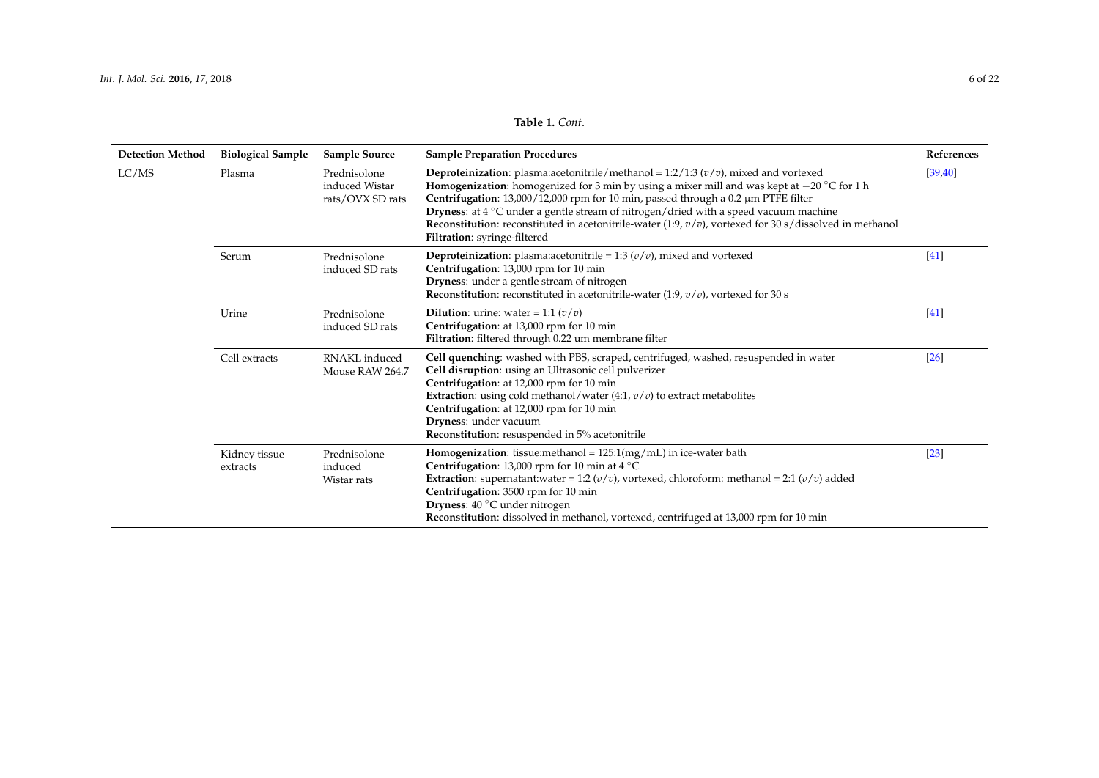| <b>Detection Method</b> | <b>Biological Sample</b>  | <b>Sample Source</b>                               | <b>Sample Preparation Procedures</b>                                                                                                                                                                                                                                                                                                                                                                                                                                                                                                             | References |
|-------------------------|---------------------------|----------------------------------------------------|--------------------------------------------------------------------------------------------------------------------------------------------------------------------------------------------------------------------------------------------------------------------------------------------------------------------------------------------------------------------------------------------------------------------------------------------------------------------------------------------------------------------------------------------------|------------|
| LC/MS                   | Plasma                    | Prednisolone<br>induced Wistar<br>rats/OVX SD rats | <b>Deproteinization</b> : plasma:acetonitrile/methanol = 1:2/1:3 $(v/v)$ , mixed and vortexed<br><b>Homogenization:</b> homogenized for 3 min by using a mixer mill and was kept at $-20$ °C for 1 h<br>Centrifugation: 13,000/12,000 rpm for 10 min, passed through a 0.2 µm PTFE filter<br>Dryness: at 4 $^{\circ}$ C under a gentle stream of nitrogen/dried with a speed vacuum machine<br><b>Reconstitution:</b> reconstituted in acetonitrile-water (1:9, $v/v$ ), vortexed for 30 s/dissolved in methanol<br>Filtration: syringe-filtered | [39, 40]   |
|                         | Serum                     | Prednisolone<br>induced SD rats                    | <b>Deproteinization</b> : plasma:acetonitrile = 1:3 $(v/v)$ , mixed and vortexed<br>Centrifugation: 13,000 rpm for 10 min<br>Dryness: under a gentle stream of nitrogen<br><b>Reconstitution</b> : reconstituted in acetonitrile-water (1:9, $v/v$ ), vortexed for 30 s                                                                                                                                                                                                                                                                          | $[41]$     |
|                         | Urine                     | Prednisolone<br>induced SD rats                    | <b>Dilution:</b> urine: water = 1:1 $(v/v)$<br>Centrifugation: at 13,000 rpm for 10 min<br>Filtration: filtered through 0.22 um membrane filter                                                                                                                                                                                                                                                                                                                                                                                                  | $[41]$     |
|                         | Cell extracts             | RNAKL induced<br>Mouse RAW 264.7                   | Cell quenching: washed with PBS, scraped, centrifuged, washed, resuspended in water<br>Cell disruption: using an Ultrasonic cell pulverizer<br>Centrifugation: at 12,000 rpm for 10 min<br>Extraction: using cold methanol/water $(4:1, v/v)$ to extract metabolites<br>Centrifugation: at 12,000 rpm for 10 min<br>Dryness: under vacuum<br>Reconstitution: resuspended in 5% acetonitrile                                                                                                                                                      | [26]       |
|                         | Kidney tissue<br>extracts | Prednisolone<br>induced<br>Wistar rats             | <b>Homogenization:</b> tissue: methanol = $125:1\,\text{(mg/mL)}$ in ice-water bath<br><b>Centrifugation:</b> 13,000 rpm for 10 min at 4 $^{\circ}$ C<br><b>Extraction:</b> supernatant:water = 1:2 ( $v/v$ ), vortexed, chloroform: methanol = 2:1 ( $v/v$ ) added<br>Centrifugation: 3500 rpm for 10 min<br>Dryness: 40 °C under nitrogen<br>Reconstitution: dissolved in methanol, vortexed, centrifuged at 13,000 rpm for 10 min                                                                                                             | $[23]$     |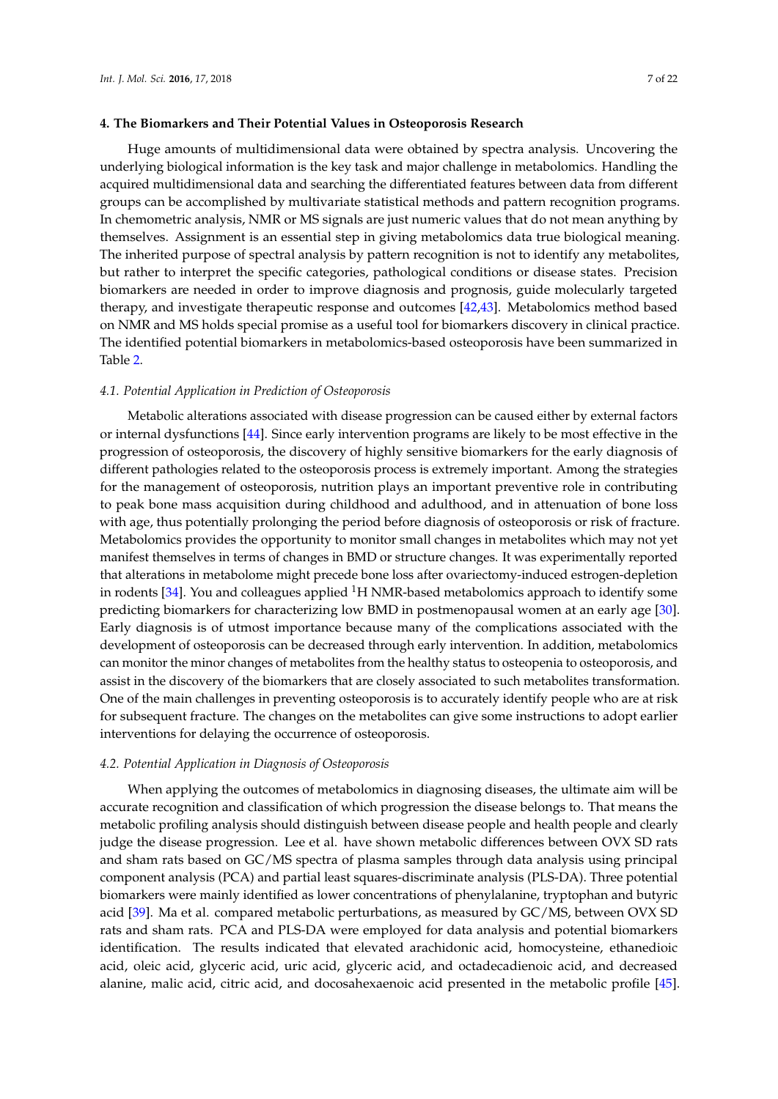### **4. The Biomarkers and Their Potential Values in Osteoporosis Research**

Huge amounts of multidimensional data were obtained by spectra analysis. Uncovering the underlying biological information is the key task and major challenge in metabolomics. Handling the acquired multidimensional data and searching the differentiated features between data from different groups can be accomplished by multivariate statistical methods and pattern recognition programs. In chemometric analysis, NMR or MS signals are just numeric values that do not mean anything by themselves. Assignment is an essential step in giving metabolomics data true biological meaning. The inherited purpose of spectral analysis by pattern recognition is not to identify any metabolites, but rather to interpret the specific categories, pathological conditions or disease states. Precision biomarkers are needed in order to improve diagnosis and prognosis, guide molecularly targeted therapy, and investigate therapeutic response and outcomes [42,43]. Metabolomics method based on NMR and MS holds special promise as a useful tool for biomarkers discovery in clinical practice. The identified potential biomarkers in metabolomics-based osteoporosis have been summarized in Table 2.

### *4.1. Potential Application in Prediction of Osteoporosis*

Metabolic alterations associated with disease progression can be caused either by external factors or internal dysfunctions [44]. Since early intervention programs are likely to be most effective in the progression of osteoporosis, the discovery of highly sensitive biomarkers for the early diagnosis of different pathologies related to the osteoporosis process is extremely important. Among the strategies for the management of osteoporosis, nutrition plays an important preventive role in contributing to peak bone mass acquisition during childhood and adulthood, and in attenuation of bone loss with age, thus potentially prolonging the period before diagnosis of osteoporosis or risk of fracture. Metabolomics provides the opportunity to monitor small changes in metabolites which may not yet manifest themselves in terms of changes in BMD or structure changes. It was experimentally reported that alterations in metabolome might precede bone loss after ovariectomy-induced estrogen-depletion in rodents  $[34]$ . You and colleagues applied  ${}^{1}H$  NMR-based metabolomics approach to identify some predicting biomarkers for characterizing low BMD in postmenopausal women at an early age [30]. Early diagnosis is of utmost importance because many of the complications associated with the development of osteoporosis can be decreased through early intervention. In addition, metabolomics can monitor the minor changes of metabolites from the healthy status to osteopenia to osteoporosis, and assist in the discovery of the biomarkers that are closely associated to such metabolites transformation. One of the main challenges in preventing osteoporosis is to accurately identify people who are at risk for subsequent fracture. The changes on the metabolites can give some instructions to adopt earlier interventions for delaying the occurrence of osteoporosis.

### *4.2. Potential Application in Diagnosis of Osteoporosis*

When applying the outcomes of metabolomics in diagnosing diseases, the ultimate aim will be accurate recognition and classification of which progression the disease belongs to. That means the metabolic profiling analysis should distinguish between disease people and health people and clearly judge the disease progression. Lee et al. have shown metabolic differences between OVX SD rats and sham rats based on GC/MS spectra of plasma samples through data analysis using principal component analysis (PCA) and partial least squares-discriminate analysis (PLS-DA). Three potential biomarkers were mainly identified as lower concentrations of phenylalanine, tryptophan and butyric acid [39]. Ma et al. compared metabolic perturbations, as measured by GC/MS, between OVX SD rats and sham rats. PCA and PLS-DA were employed for data analysis and potential biomarkers identification. The results indicated that elevated arachidonic acid, homocysteine, ethanedioic acid, oleic acid, glyceric acid, uric acid, glyceric acid, and octadecadienoic acid, and decreased alanine, malic acid, citric acid, and docosahexaenoic acid presented in the metabolic profile [45].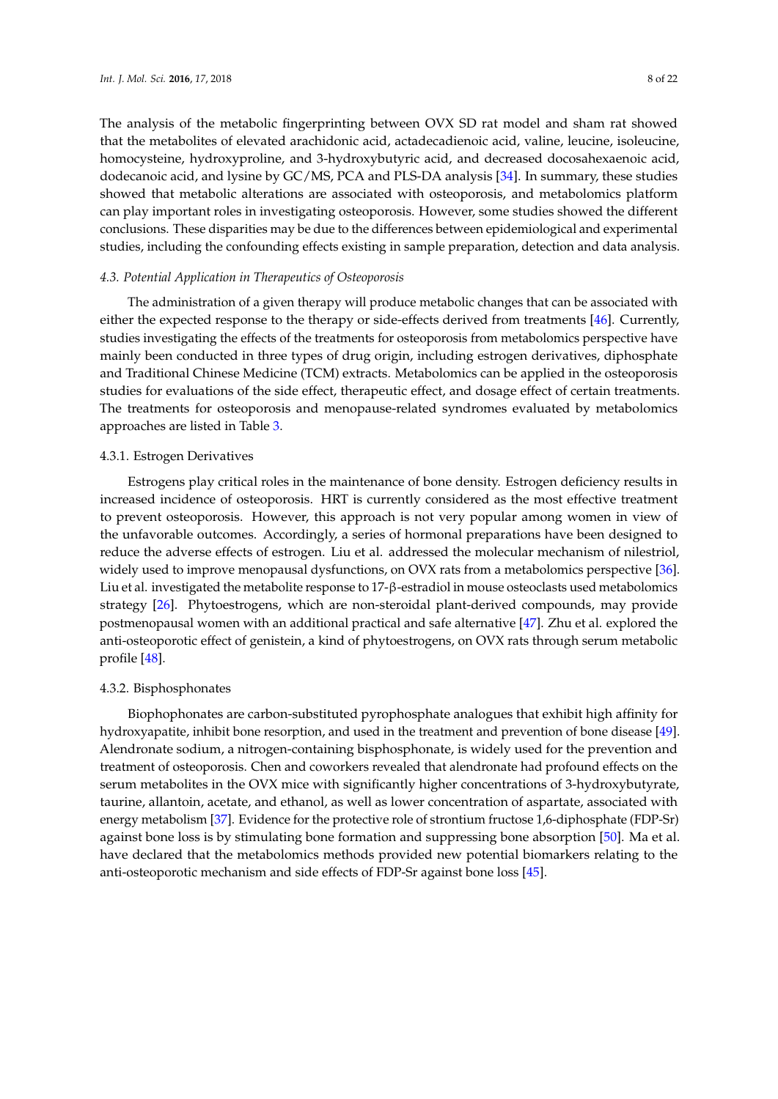The analysis of the metabolic fingerprinting between OVX SD rat model and sham rat showed that the metabolites of elevated arachidonic acid, actadecadienoic acid, valine, leucine, isoleucine, homocysteine, hydroxyproline, and 3-hydroxybutyric acid, and decreased docosahexaenoic acid, dodecanoic acid, and lysine by GC/MS, PCA and PLS-DA analysis [34]. In summary, these studies showed that metabolic alterations are associated with osteoporosis, and metabolomics platform can play important roles in investigating osteoporosis. However, some studies showed the different conclusions. These disparities may be due to the differences between epidemiological and experimental studies, including the confounding effects existing in sample preparation, detection and data analysis.

### *4.3. Potential Application in Therapeutics of Osteoporosis*

The administration of a given therapy will produce metabolic changes that can be associated with either the expected response to the therapy or side-effects derived from treatments [46]. Currently, studies investigating the effects of the treatments for osteoporosis from metabolomics perspective have mainly been conducted in three types of drug origin, including estrogen derivatives, diphosphate and Traditional Chinese Medicine (TCM) extracts. Metabolomics can be applied in the osteoporosis studies for evaluations of the side effect, therapeutic effect, and dosage effect of certain treatments. The treatments for osteoporosis and menopause-related syndromes evaluated by metabolomics approaches are listed in Table 3.

### 4.3.1. Estrogen Derivatives

Estrogens play critical roles in the maintenance of bone density. Estrogen deficiency results in increased incidence of osteoporosis. HRT is currently considered as the most effective treatment to prevent osteoporosis. However, this approach is not very popular among women in view of the unfavorable outcomes. Accordingly, a series of hormonal preparations have been designed to reduce the adverse effects of estrogen. Liu et al. addressed the molecular mechanism of nilestriol, widely used to improve menopausal dysfunctions, on OVX rats from a metabolomics perspective [36]. Liu et al. investigated the metabolite response to 17-β-estradiol in mouse osteoclasts used metabolomics strategy [26]. Phytoestrogens, which are non-steroidal plant-derived compounds, may provide postmenopausal women with an additional practical and safe alternative [47]. Zhu et al. explored the anti-osteoporotic effect of genistein, a kind of phytoestrogens, on OVX rats through serum metabolic profile [48].

### 4.3.2. Bisphosphonates

Biophophonates are carbon-substituted pyrophosphate analogues that exhibit high affinity for hydroxyapatite, inhibit bone resorption, and used in the treatment and prevention of bone disease [49]. Alendronate sodium, a nitrogen-containing bisphosphonate, is widely used for the prevention and treatment of osteoporosis. Chen and coworkers revealed that alendronate had profound effects on the serum metabolites in the OVX mice with significantly higher concentrations of 3-hydroxybutyrate, taurine, allantoin, acetate, and ethanol, as well as lower concentration of aspartate, associated with energy metabolism [37]. Evidence for the protective role of strontium fructose 1,6-diphosphate (FDP-Sr) against bone loss is by stimulating bone formation and suppressing bone absorption [50]. Ma et al. have declared that the metabolomics methods provided new potential biomarkers relating to the anti-osteoporotic mechanism and side effects of FDP-Sr against bone loss [45].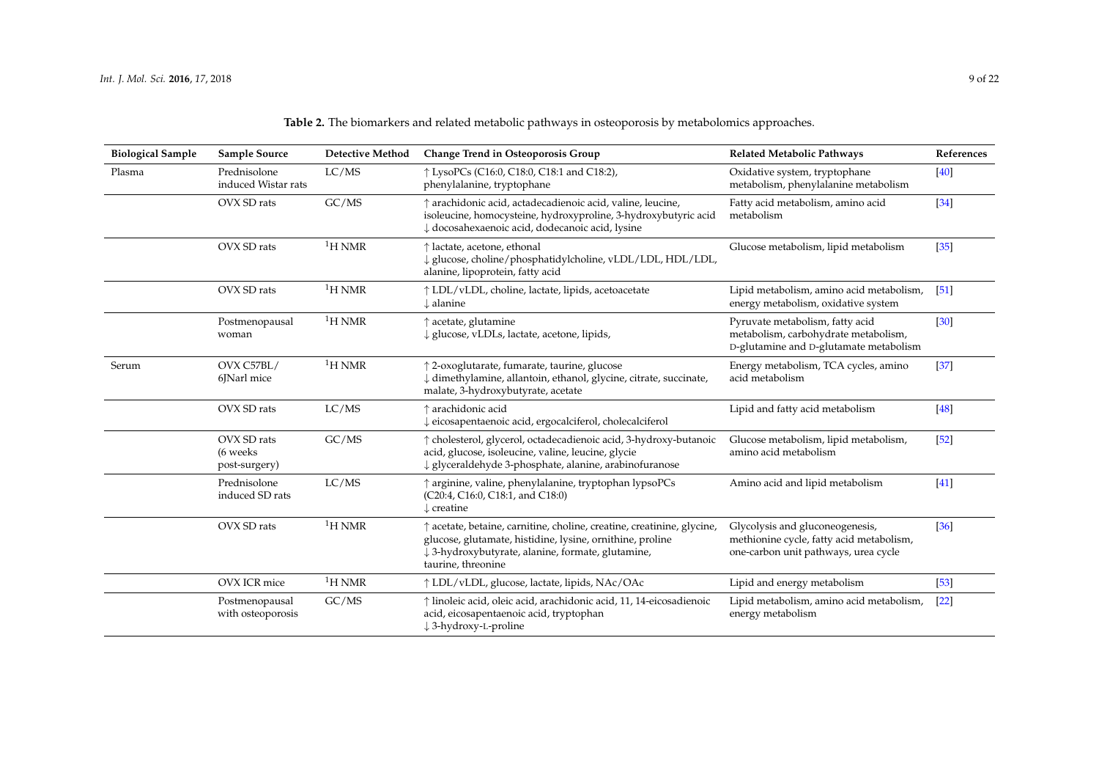| <b>Table 2.</b> The biomarkers and related metabolic pathways in osteoporosis by metabolomics approaches. |  |  |
|-----------------------------------------------------------------------------------------------------------|--|--|
|-----------------------------------------------------------------------------------------------------------|--|--|

| <b>Biological Sample</b> | <b>Sample Source</b>                      | <b>Detective Method</b> | Change Trend in Osteoporosis Group                                                                                                                                                                             | Related Metabolic Pathways                                                                                          | References |
|--------------------------|-------------------------------------------|-------------------------|----------------------------------------------------------------------------------------------------------------------------------------------------------------------------------------------------------------|---------------------------------------------------------------------------------------------------------------------|------------|
| Plasma                   | Prednisolone<br>induced Wistar rats       | LC/MS                   | ↑ LysoPCs (C16:0, C18:0, C18:1 and C18:2),<br>phenylalanine, tryptophane                                                                                                                                       | Oxidative system, tryptophane<br>metabolism, phenylalanine metabolism                                               | $[40]$     |
|                          | OVX SD rats                               | GC/MS                   | ↑ arachidonic acid, actadecadienoic acid, valine, leucine,<br>isoleucine, homocysteine, hydroxyproline, 3-hydroxybutyric acid<br>↓ docosahexaenoic acid, dodecanoic acid, lysine                               | Fatty acid metabolism, amino acid<br>metabolism                                                                     | $[34]$     |
|                          | OVX SD rats                               | ${}^{1}$ H NMR          | ↑ lactate, acetone, ethonal<br>↓ glucose, choline/phosphatidylcholine, vLDL/LDL, HDL/LDL,<br>alanine, lipoprotein, fatty acid                                                                                  | Glucose metabolism, lipid metabolism                                                                                | $[35]$     |
|                          | OVX SD rats                               | 1H NMR                  | ↑ LDL/vLDL, choline, lactate, lipids, acetoacetate<br>$\downarrow$ alanine                                                                                                                                     | Lipid metabolism, amino acid metabolism,<br>energy metabolism, oxidative system                                     | [51]       |
|                          | Postmenopausal<br>woman                   | ${}^{1}$ H NMR          | ↑ acetate, glutamine<br>↓ glucose, vLDLs, lactate, acetone, lipids,                                                                                                                                            | Pyruvate metabolism, fatty acid<br>metabolism, carbohydrate metabolism,<br>D-glutamine and D-glutamate metabolism   | [30]       |
| Serum                    | OVX C57BL/<br>6JNarl mice                 | ${}^{1}$ H NMR          | ↑ 2-oxoglutarate, fumarate, taurine, glucose<br>↓ dimethylamine, allantoin, ethanol, glycine, citrate, succinate,<br>malate, 3-hydroxybutyrate, acetate                                                        | Energy metabolism, TCA cycles, amino<br>acid metabolism                                                             | $[37]$     |
|                          | OVX SD rats                               | LC/MS                   | ↑ arachidonic acid<br>↓ eicosapentaenoic acid, ergocalciferol, cholecalciferol                                                                                                                                 | Lipid and fatty acid metabolism                                                                                     | $[48]$     |
|                          | OVX SD rats<br>(6 weeks)<br>post-surgery) | GC/MS                   | ↑ cholesterol, glycerol, octadecadienoic acid, 3-hydroxy-butanoic<br>acid, glucose, isoleucine, valine, leucine, glycie<br>↓ glyceraldehyde 3-phosphate, alanine, arabinofuranose                              | Glucose metabolism, lipid metabolism,<br>amino acid metabolism                                                      | [52]       |
|                          | Prednisolone<br>induced SD rats           | LC/MS                   | ↑ arginine, valine, phenylalanine, tryptophan lypsoPCs<br>(C20:4, C16:0, C18:1, and C18:0)<br>$\downarrow$ creatine                                                                                            | Amino acid and lipid metabolism                                                                                     | $[41]$     |
|                          | OVX SD rats                               | ${}^{1}$ H NMR          | † acetate, betaine, carnitine, choline, creatine, creatinine, glycine,<br>glucose, glutamate, histidine, lysine, ornithine, proline<br>↓ 3-hydroxybutyrate, alanine, formate, glutamine,<br>taurine, threonine | Glycolysis and gluconeogenesis,<br>methionine cycle, fatty acid metabolism,<br>one-carbon unit pathways, urea cycle | $[36]$     |
|                          | <b>OVX ICR</b> mice                       | ${}^{1}$ H NMR          | ↑ LDL/vLDL, glucose, lactate, lipids, NAc/OAc                                                                                                                                                                  | Lipid and energy metabolism                                                                                         | $[53]$     |
|                          | Postmenopausal<br>with osteoporosis       | GC/MS                   | ↑ linoleic acid, oleic acid, arachidonic acid, 11, 14-eicosadienoic<br>acid, eicosapentaenoic acid, tryptophan<br>↓3-hydroxy-L-proline                                                                         | Lipid metabolism, amino acid metabolism,<br>energy metabolism                                                       | $[22]$     |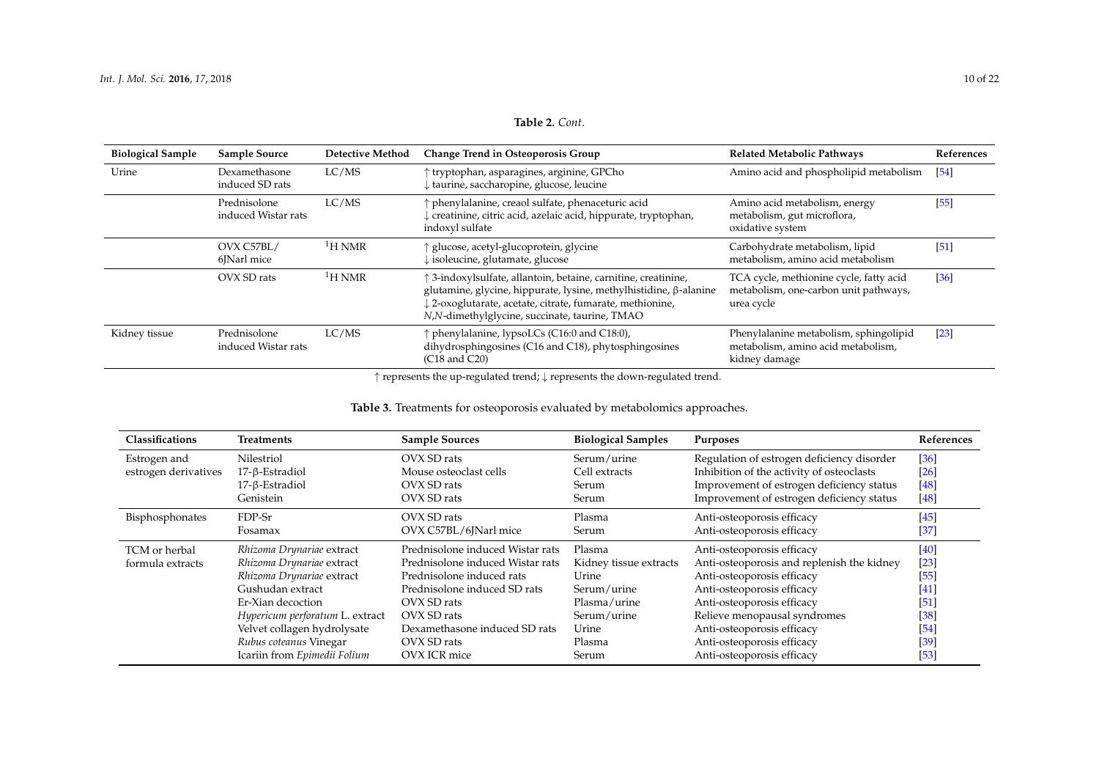| <b>Biological Sample</b> | <b>Sample Source</b>                | <b>Detective Method</b> | <b>Change Trend in Osteoporosis Group</b>                                                                                                                                                                                                       | <b>Related Metabolic Pathways</b>                                                              | References |
|--------------------------|-------------------------------------|-------------------------|-------------------------------------------------------------------------------------------------------------------------------------------------------------------------------------------------------------------------------------------------|------------------------------------------------------------------------------------------------|------------|
| Urine                    | Dexamethasone<br>induced SD rats    | LC/MS                   | ↑ tryptophan, asparagines, arginine, GPCho<br># taurine, saccharopine, glucose, leucine                                                                                                                                                         | Amino acid and phospholipid metabolism                                                         | [54]       |
|                          | Prednisolone<br>induced Wistar rats | LC/MS                   | ↑ phenylalanine, creaol sulfate, phenaceturic acid<br>creatinine, citric acid, azelaic acid, hippurate, tryptophan,<br>indoxyl sulfate                                                                                                          | Amino acid metabolism, energy<br>metabolism, gut microflora,<br>oxidative system               | $[55]$     |
|                          | OVX C57BL/<br>6 Narl mice           | $\rm ^1H$ NMR           | ↑ glucose, acetyl-glucoprotein, glycine<br>$\downarrow$ isoleucine, glutamate, glucose                                                                                                                                                          | Carbohydrate metabolism, lipid<br>metabolism, amino acid metabolism                            | [51]       |
|                          | OVX SD rats                         | ${}^{1}$ H NMR          | ↑ 3-indoxylsulfate, allantoin, betaine, carnitine, creatinine,<br>glutamine, glycine, hippurate, lysine, methylhistidine, β-alanine<br>2-oxoglutarate, acetate, citrate, fumarate, methionine,<br>N,N-dimethylglycine, succinate, taurine, TMAO | TCA cycle, methionine cycle, fatty acid<br>metabolism, one-carbon unit pathways,<br>urea cycle | [36]       |
| Kidney tissue            | Prednisolone<br>induced Wistar rats | LC/MS                   | ↑ phenylalanine, lypsoLCs (C16:0 and C18:0),<br>dihydrosphingosines (C16 and C18), phytosphingosines<br>$(C18 \text{ and } C20)$                                                                                                                | Phenylalanine metabolism, sphingolipid<br>metabolism, amino acid metabolism,<br>kidney damage  | [23]       |

↑ represents the up-regulated trend; ↓ represents the down-regulated trend.

### **Table 3.** Treatments for osteoporosis evaluated by metabolomics approaches.

| <b>Classifications</b> | <b>Treatments</b>               | <b>Sample Sources</b>            | <b>Biological Samples</b> | Purposes                                   | References        |
|------------------------|---------------------------------|----------------------------------|---------------------------|--------------------------------------------|-------------------|
| Estrogen and           | Nilestriol                      | OVX SD rats                      | Serum/urine               | Regulation of estrogen deficiency disorder | [36]              |
| estrogen derivatives   | 17-β-Estradiol                  | Mouse osteoclast cells           | Cell extracts             | Inhibition of the activity of osteoclasts  | [26]              |
|                        | 17-β-Estradiol                  | OVX SD rats                      | Serum                     | Improvement of estrogen deficiency status  | [48]              |
|                        | Genistein                       | OVX SD rats                      | Serum                     | Improvement of estrogen deficiency status  | $[48]$            |
| Bisphosphonates        | FDP-Sr                          | OVX SD rats                      | Plasma                    | Anti-osteoporosis efficacy                 | $[45]$            |
|                        | Fosamax                         | OVX C57BL/6JNarl mice            | Serum                     | Anti-osteoporosis efficacy                 | $\left[37\right]$ |
| TCM or herbal          | Rhizoma Drynariae extract       | Prednisolone induced Wistar rats | Plasma                    | Anti-osteoporosis efficacy                 | $[40]$            |
| formula extracts       | Rhizoma Drynariae extract       | Prednisolone induced Wistar rats | Kidney tissue extracts    | Anti-osteoporosis and replenish the kidney | $[23]$            |
|                        | Rhizoma Drynariae extract       | Prednisolone induced rats        | Urine                     | Anti-osteoporosis efficacy                 | $[55]$            |
|                        | Gushudan extract                | Prednisolone induced SD rats     | Serum/urine               | Anti-osteoporosis efficacy                 | [41]              |
|                        | Er-Xian decoction               | OVX SD rats                      | Plasma/urine              | Anti-osteoporosis efficacy                 | $\sqrt{51}$       |
|                        | Hypericum perforatum L. extract | OVX SD rats                      | Serum/urine               | Relieve menopausal syndromes               | $[38]$            |
|                        | Velvet collagen hydrolysate     | Dexamethasone induced SD rats    | Urine                     | Anti-osteoporosis efficacy                 | $[54]$            |
|                        | Rubus coteanus Vinegar          | OVX SD rats                      | Plasma                    | Anti-osteoporosis efficacy                 | $\left[39\right]$ |
|                        | Icariin from Epimedii Folium    | OVX ICR mice                     | Serum                     | Anti-osteoporosis efficacy                 | $[53]$            |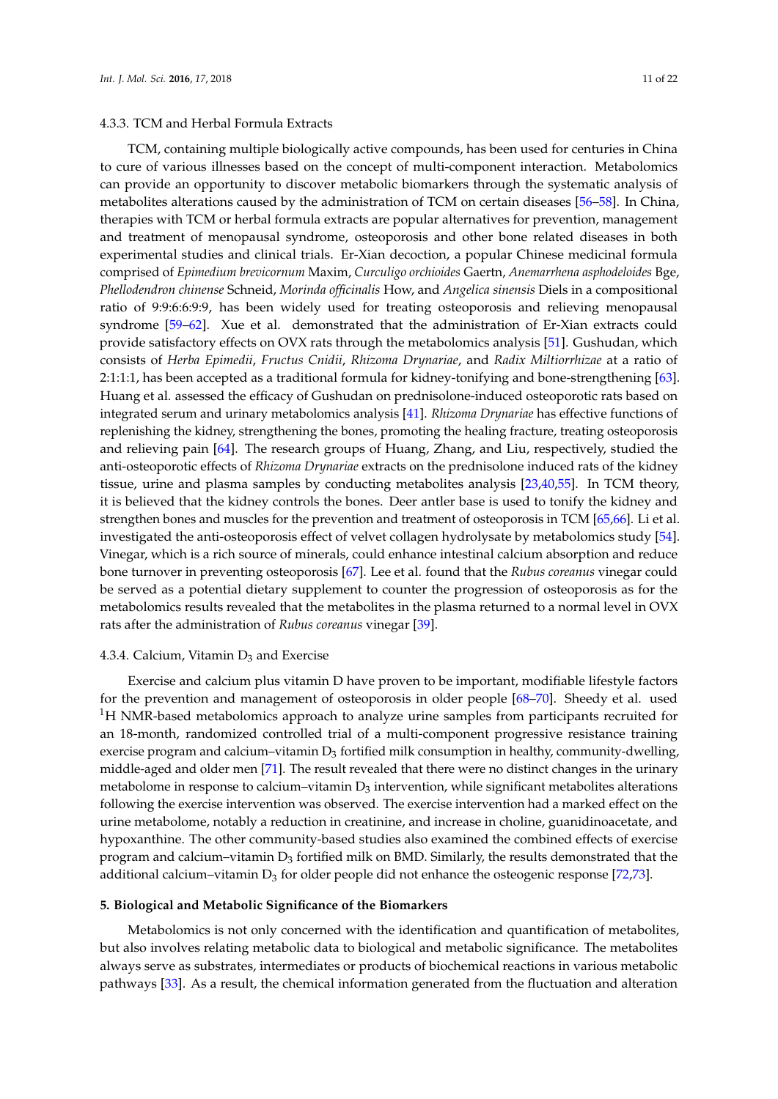### 4.3.3. TCM and Herbal Formula Extracts

TCM, containing multiple biologically active compounds, has been used for centuries in China to cure of various illnesses based on the concept of multi-component interaction. Metabolomics can provide an opportunity to discover metabolic biomarkers through the systematic analysis of metabolites alterations caused by the administration of TCM on certain diseases [56–58]. In China, therapies with TCM or herbal formula extracts are popular alternatives for prevention, management and treatment of menopausal syndrome, osteoporosis and other bone related diseases in both experimental studies and clinical trials. Er-Xian decoction, a popular Chinese medicinal formula comprised of *Epimedium brevicornum* Maxim, *Curculigo orchioides* Gaertn, *Anemarrhena asphodeloides* Bge, *Phellodendron chinense* Schneid, *Morinda officinalis* How, and *Angelica sinensis* Diels in a compositional ratio of 9:9:6:6:9:9, has been widely used for treating osteoporosis and relieving menopausal syndrome [59–62]. Xue et al. demonstrated that the administration of Er-Xian extracts could provide satisfactory effects on OVX rats through the metabolomics analysis [51]. Gushudan, which consists of *Herba Epimedii*, *Fructus Cnidii*, *Rhizoma Drynariae*, and *Radix Miltiorrhizae* at a ratio of 2:1:1:1, has been accepted as a traditional formula for kidney-tonifying and bone-strengthening [63]. Huang et al. assessed the efficacy of Gushudan on prednisolone-induced osteoporotic rats based on integrated serum and urinary metabolomics analysis [41]. *Rhizoma Drynariae* has effective functions of replenishing the kidney, strengthening the bones, promoting the healing fracture, treating osteoporosis and relieving pain [64]. The research groups of Huang, Zhang, and Liu, respectively, studied the anti-osteoporotic effects of *Rhizoma Drynariae* extracts on the prednisolone induced rats of the kidney tissue, urine and plasma samples by conducting metabolites analysis [23,40,55]. In TCM theory, it is believed that the kidney controls the bones. Deer antler base is used to tonify the kidney and strengthen bones and muscles for the prevention and treatment of osteoporosis in TCM [65,66]. Li et al. investigated the anti-osteoporosis effect of velvet collagen hydrolysate by metabolomics study [54]. Vinegar, which is a rich source of minerals, could enhance intestinal calcium absorption and reduce bone turnover in preventing osteoporosis [67]. Lee et al. found that the *Rubus coreanus* vinegar could be served as a potential dietary supplement to counter the progression of osteoporosis as for the metabolomics results revealed that the metabolites in the plasma returned to a normal level in OVX rats after the administration of *Rubus coreanus* vinegar [39].

### 4.3.4. Calcium, Vitamin  $D_3$  and Exercise

Exercise and calcium plus vitamin D have proven to be important, modifiable lifestyle factors for the prevention and management of osteoporosis in older people [68–70]. Sheedy et al. used <sup>1</sup>H NMR-based metabolomics approach to analyze urine samples from participants recruited for an 18-month, randomized controlled trial of a multi-component progressive resistance training exercise program and calcium–vitamin  $D_3$  fortified milk consumption in healthy, community-dwelling, middle-aged and older men [71]. The result revealed that there were no distinct changes in the urinary metabolome in response to calcium–vitamin  $D_3$  intervention, while significant metabolites alterations following the exercise intervention was observed. The exercise intervention had a marked effect on the urine metabolome, notably a reduction in creatinine, and increase in choline, guanidinoacetate, and hypoxanthine. The other community-based studies also examined the combined effects of exercise program and calcium–vitamin  $D_3$  fortified milk on BMD. Similarly, the results demonstrated that the additional calcium–vitamin  $D_3$  for older people did not enhance the osteogenic response [72,73].

### **5. Biological and Metabolic Significance of the Biomarkers**

Metabolomics is not only concerned with the identification and quantification of metabolites, but also involves relating metabolic data to biological and metabolic significance. The metabolites always serve as substrates, intermediates or products of biochemical reactions in various metabolic pathways [33]. As a result, the chemical information generated from the fluctuation and alteration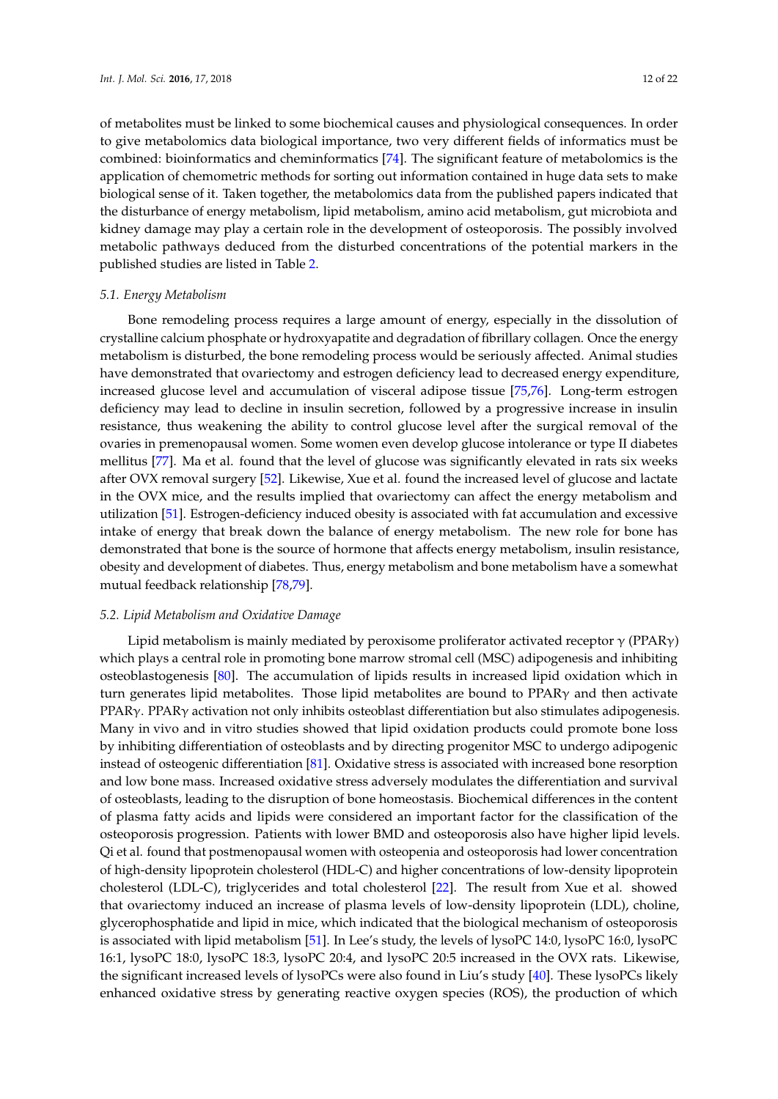of metabolites must be linked to some biochemical causes and physiological consequences. In order to give metabolomics data biological importance, two very different fields of informatics must be combined: bioinformatics and cheminformatics [74]. The significant feature of metabolomics is the application of chemometric methods for sorting out information contained in huge data sets to make biological sense of it. Taken together, the metabolomics data from the published papers indicated that the disturbance of energy metabolism, lipid metabolism, amino acid metabolism, gut microbiota and kidney damage may play a certain role in the development of osteoporosis. The possibly involved metabolic pathways deduced from the disturbed concentrations of the potential markers in the published studies are listed in Table 2.

#### *5.1. Energy Metabolism*

Bone remodeling process requires a large amount of energy, especially in the dissolution of crystalline calcium phosphate or hydroxyapatite and degradation of fibrillary collagen. Once the energy metabolism is disturbed, the bone remodeling process would be seriously affected. Animal studies have demonstrated that ovariectomy and estrogen deficiency lead to decreased energy expenditure, increased glucose level and accumulation of visceral adipose tissue [75,76]. Long-term estrogen deficiency may lead to decline in insulin secretion, followed by a progressive increase in insulin resistance, thus weakening the ability to control glucose level after the surgical removal of the ovaries in premenopausal women. Some women even develop glucose intolerance or type II diabetes mellitus [77]. Ma et al. found that the level of glucose was significantly elevated in rats six weeks after OVX removal surgery [52]. Likewise, Xue et al. found the increased level of glucose and lactate in the OVX mice, and the results implied that ovariectomy can affect the energy metabolism and utilization [51]. Estrogen-deficiency induced obesity is associated with fat accumulation and excessive intake of energy that break down the balance of energy metabolism. The new role for bone has demonstrated that bone is the source of hormone that affects energy metabolism, insulin resistance, obesity and development of diabetes. Thus, energy metabolism and bone metabolism have a somewhat mutual feedback relationship [78,79].

### *5.2. Lipid Metabolism and Oxidative Damage*

Lipid metabolism is mainly mediated by peroxisome proliferator activated receptor  $\gamma$  (PPAR $\gamma$ ) which plays a central role in promoting bone marrow stromal cell (MSC) adipogenesis and inhibiting osteoblastogenesis [80]. The accumulation of lipids results in increased lipid oxidation which in turn generates lipid metabolites. Those lipid metabolites are bound to PPARγ and then activate PPARγ. PPARγ activation not only inhibits osteoblast differentiation but also stimulates adipogenesis. Many in vivo and in vitro studies showed that lipid oxidation products could promote bone loss by inhibiting differentiation of osteoblasts and by directing progenitor MSC to undergo adipogenic instead of osteogenic differentiation [81]. Oxidative stress is associated with increased bone resorption and low bone mass. Increased oxidative stress adversely modulates the differentiation and survival of osteoblasts, leading to the disruption of bone homeostasis. Biochemical differences in the content of plasma fatty acids and lipids were considered an important factor for the classification of the osteoporosis progression. Patients with lower BMD and osteoporosis also have higher lipid levels. Qi et al. found that postmenopausal women with osteopenia and osteoporosis had lower concentration of high-density lipoprotein cholesterol (HDL-C) and higher concentrations of low-density lipoprotein cholesterol (LDL-C), triglycerides and total cholesterol [22]. The result from Xue et al. showed that ovariectomy induced an increase of plasma levels of low-density lipoprotein (LDL), choline, glycerophosphatide and lipid in mice, which indicated that the biological mechanism of osteoporosis is associated with lipid metabolism [51]. In Lee's study, the levels of lysoPC 14:0, lysoPC 16:0, lysoPC 16:1, lysoPC 18:0, lysoPC 18:3, lysoPC 20:4, and lysoPC 20:5 increased in the OVX rats. Likewise, the significant increased levels of lysoPCs were also found in Liu's study [40]. These lysoPCs likely enhanced oxidative stress by generating reactive oxygen species (ROS), the production of which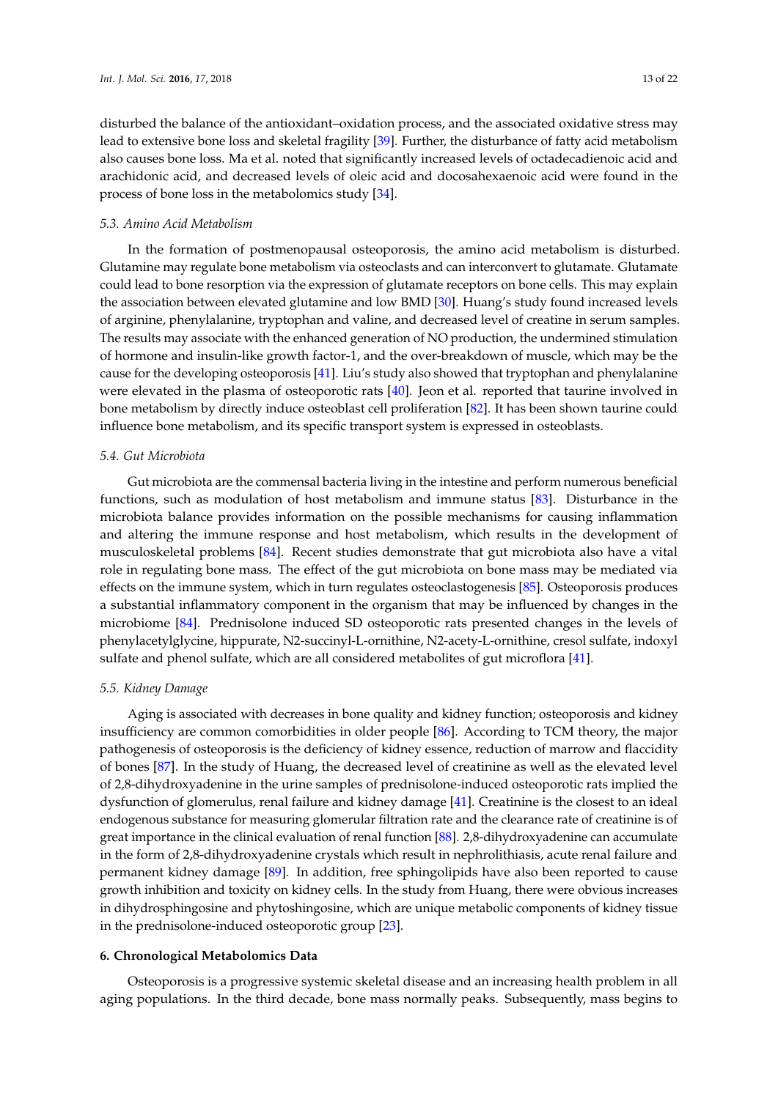disturbed the balance of the antioxidant–oxidation process, and the associated oxidative stress may lead to extensive bone loss and skeletal fragility [39]. Further, the disturbance of fatty acid metabolism also causes bone loss. Ma et al. noted that significantly increased levels of octadecadienoic acid and arachidonic acid, and decreased levels of oleic acid and docosahexaenoic acid were found in the process of bone loss in the metabolomics study [34].

#### *5.3. Amino Acid Metabolism*

In the formation of postmenopausal osteoporosis, the amino acid metabolism is disturbed. Glutamine may regulate bone metabolism via osteoclasts and can interconvert to glutamate. Glutamate could lead to bone resorption via the expression of glutamate receptors on bone cells. This may explain the association between elevated glutamine and low BMD [30]. Huang's study found increased levels of arginine, phenylalanine, tryptophan and valine, and decreased level of creatine in serum samples. The results may associate with the enhanced generation of NO production, the undermined stimulation of hormone and insulin-like growth factor-1, and the over-breakdown of muscle, which may be the cause for the developing osteoporosis [41]. Liu's study also showed that tryptophan and phenylalanine were elevated in the plasma of osteoporotic rats [40]. Jeon et al. reported that taurine involved in bone metabolism by directly induce osteoblast cell proliferation [82]. It has been shown taurine could influence bone metabolism, and its specific transport system is expressed in osteoblasts.

#### *5.4. Gut Microbiota*

Gut microbiota are the commensal bacteria living in the intestine and perform numerous beneficial functions, such as modulation of host metabolism and immune status [83]. Disturbance in the microbiota balance provides information on the possible mechanisms for causing inflammation and altering the immune response and host metabolism, which results in the development of musculoskeletal problems [84]. Recent studies demonstrate that gut microbiota also have a vital role in regulating bone mass. The effect of the gut microbiota on bone mass may be mediated via effects on the immune system, which in turn regulates osteoclastogenesis [85]. Osteoporosis produces a substantial inflammatory component in the organism that may be influenced by changes in the microbiome [84]. Prednisolone induced SD osteoporotic rats presented changes in the levels of phenylacetylglycine, hippurate, N2-succinyl-L-ornithine, N2-acety-L-ornithine, cresol sulfate, indoxyl sulfate and phenol sulfate, which are all considered metabolites of gut microflora [41].

### *5.5. Kidney Damage*

Aging is associated with decreases in bone quality and kidney function; osteoporosis and kidney insufficiency are common comorbidities in older people [86]. According to TCM theory, the major pathogenesis of osteoporosis is the deficiency of kidney essence, reduction of marrow and flaccidity of bones [87]. In the study of Huang, the decreased level of creatinine as well as the elevated level of 2,8-dihydroxyadenine in the urine samples of prednisolone-induced osteoporotic rats implied the dysfunction of glomerulus, renal failure and kidney damage [41]. Creatinine is the closest to an ideal endogenous substance for measuring glomerular filtration rate and the clearance rate of creatinine is of great importance in the clinical evaluation of renal function [88]. 2,8-dihydroxyadenine can accumulate in the form of 2,8-dihydroxyadenine crystals which result in nephrolithiasis, acute renal failure and permanent kidney damage [89]. In addition, free sphingolipids have also been reported to cause growth inhibition and toxicity on kidney cells. In the study from Huang, there were obvious increases in dihydrosphingosine and phytoshingosine, which are unique metabolic components of kidney tissue in the prednisolone-induced osteoporotic group [23].

#### **6. Chronological Metabolomics Data**

Osteoporosis is a progressive systemic skeletal disease and an increasing health problem in all aging populations. In the third decade, bone mass normally peaks. Subsequently, mass begins to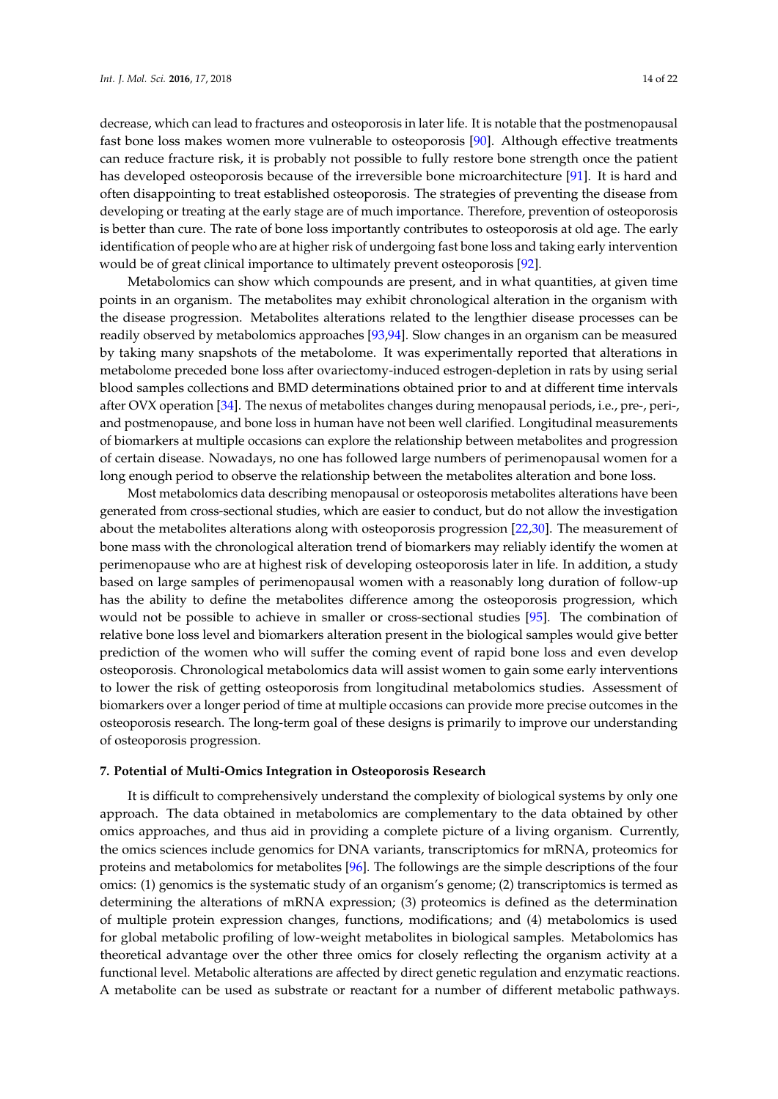decrease, which can lead to fractures and osteoporosis in later life. It is notable that the postmenopausal fast bone loss makes women more vulnerable to osteoporosis [90]. Although effective treatments can reduce fracture risk, it is probably not possible to fully restore bone strength once the patient has developed osteoporosis because of the irreversible bone microarchitecture [91]. It is hard and often disappointing to treat established osteoporosis. The strategies of preventing the disease from developing or treating at the early stage are of much importance. Therefore, prevention of osteoporosis is better than cure. The rate of bone loss importantly contributes to osteoporosis at old age. The early identification of people who are at higher risk of undergoing fast bone loss and taking early intervention would be of great clinical importance to ultimately prevent osteoporosis [92].

Metabolomics can show which compounds are present, and in what quantities, at given time points in an organism. The metabolites may exhibit chronological alteration in the organism with the disease progression. Metabolites alterations related to the lengthier disease processes can be readily observed by metabolomics approaches [93,94]. Slow changes in an organism can be measured by taking many snapshots of the metabolome. It was experimentally reported that alterations in metabolome preceded bone loss after ovariectomy-induced estrogen-depletion in rats by using serial blood samples collections and BMD determinations obtained prior to and at different time intervals after OVX operation [34]. The nexus of metabolites changes during menopausal periods, i.e., pre-, peri-, and postmenopause, and bone loss in human have not been well clarified. Longitudinal measurements of biomarkers at multiple occasions can explore the relationship between metabolites and progression of certain disease. Nowadays, no one has followed large numbers of perimenopausal women for a long enough period to observe the relationship between the metabolites alteration and bone loss.

Most metabolomics data describing menopausal or osteoporosis metabolites alterations have been generated from cross-sectional studies, which are easier to conduct, but do not allow the investigation about the metabolites alterations along with osteoporosis progression [22,30]. The measurement of bone mass with the chronological alteration trend of biomarkers may reliably identify the women at perimenopause who are at highest risk of developing osteoporosis later in life. In addition, a study based on large samples of perimenopausal women with a reasonably long duration of follow-up has the ability to define the metabolites difference among the osteoporosis progression, which would not be possible to achieve in smaller or cross-sectional studies [95]. The combination of relative bone loss level and biomarkers alteration present in the biological samples would give better prediction of the women who will suffer the coming event of rapid bone loss and even develop osteoporosis. Chronological metabolomics data will assist women to gain some early interventions to lower the risk of getting osteoporosis from longitudinal metabolomics studies. Assessment of biomarkers over a longer period of time at multiple occasions can provide more precise outcomes in the osteoporosis research. The long-term goal of these designs is primarily to improve our understanding of osteoporosis progression.

### **7. Potential of Multi-Omics Integration in Osteoporosis Research**

It is difficult to comprehensively understand the complexity of biological systems by only one approach. The data obtained in metabolomics are complementary to the data obtained by other omics approaches, and thus aid in providing a complete picture of a living organism. Currently, the omics sciences include genomics for DNA variants, transcriptomics for mRNA, proteomics for proteins and metabolomics for metabolites [96]. The followings are the simple descriptions of the four omics: (1) genomics is the systematic study of an organism's genome; (2) transcriptomics is termed as determining the alterations of mRNA expression; (3) proteomics is defined as the determination of multiple protein expression changes, functions, modifications; and (4) metabolomics is used for global metabolic profiling of low-weight metabolites in biological samples. Metabolomics has theoretical advantage over the other three omics for closely reflecting the organism activity at a functional level. Metabolic alterations are affected by direct genetic regulation and enzymatic reactions. A metabolite can be used as substrate or reactant for a number of different metabolic pathways.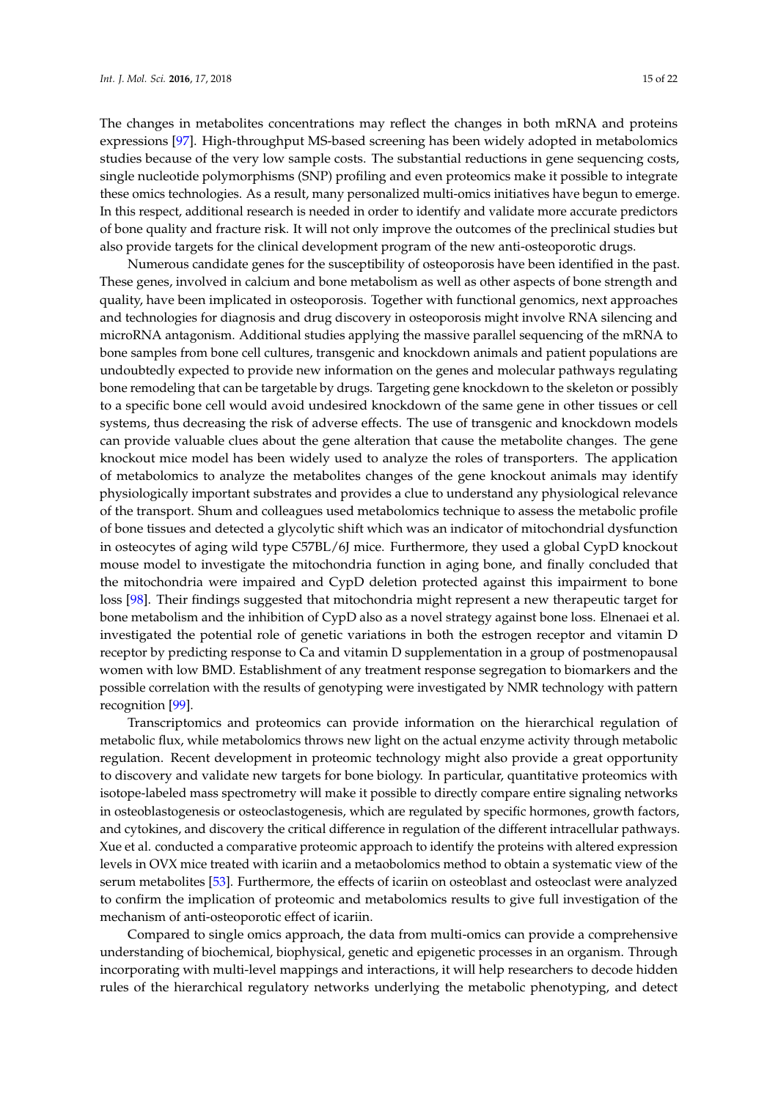The changes in metabolites concentrations may reflect the changes in both mRNA and proteins expressions [97]. High-throughput MS-based screening has been widely adopted in metabolomics studies because of the very low sample costs. The substantial reductions in gene sequencing costs, single nucleotide polymorphisms (SNP) profiling and even proteomics make it possible to integrate these omics technologies. As a result, many personalized multi-omics initiatives have begun to emerge. In this respect, additional research is needed in order to identify and validate more accurate predictors of bone quality and fracture risk. It will not only improve the outcomes of the preclinical studies but also provide targets for the clinical development program of the new anti-osteoporotic drugs.

Numerous candidate genes for the susceptibility of osteoporosis have been identified in the past. These genes, involved in calcium and bone metabolism as well as other aspects of bone strength and quality, have been implicated in osteoporosis. Together with functional genomics, next approaches and technologies for diagnosis and drug discovery in osteoporosis might involve RNA silencing and microRNA antagonism. Additional studies applying the massive parallel sequencing of the mRNA to bone samples from bone cell cultures, transgenic and knockdown animals and patient populations are undoubtedly expected to provide new information on the genes and molecular pathways regulating bone remodeling that can be targetable by drugs. Targeting gene knockdown to the skeleton or possibly to a specific bone cell would avoid undesired knockdown of the same gene in other tissues or cell systems, thus decreasing the risk of adverse effects. The use of transgenic and knockdown models can provide valuable clues about the gene alteration that cause the metabolite changes. The gene knockout mice model has been widely used to analyze the roles of transporters. The application of metabolomics to analyze the metabolites changes of the gene knockout animals may identify physiologically important substrates and provides a clue to understand any physiological relevance of the transport. Shum and colleagues used metabolomics technique to assess the metabolic profile of bone tissues and detected a glycolytic shift which was an indicator of mitochondrial dysfunction in osteocytes of aging wild type C57BL/6J mice. Furthermore, they used a global CypD knockout mouse model to investigate the mitochondria function in aging bone, and finally concluded that the mitochondria were impaired and CypD deletion protected against this impairment to bone loss [98]. Their findings suggested that mitochondria might represent a new therapeutic target for bone metabolism and the inhibition of CypD also as a novel strategy against bone loss. Elnenaei et al. investigated the potential role of genetic variations in both the estrogen receptor and vitamin D receptor by predicting response to Ca and vitamin D supplementation in a group of postmenopausal women with low BMD. Establishment of any treatment response segregation to biomarkers and the possible correlation with the results of genotyping were investigated by NMR technology with pattern recognition [99].

Transcriptomics and proteomics can provide information on the hierarchical regulation of metabolic flux, while metabolomics throws new light on the actual enzyme activity through metabolic regulation. Recent development in proteomic technology might also provide a great opportunity to discovery and validate new targets for bone biology. In particular, quantitative proteomics with isotope-labeled mass spectrometry will make it possible to directly compare entire signaling networks in osteoblastogenesis or osteoclastogenesis, which are regulated by specific hormones, growth factors, and cytokines, and discovery the critical difference in regulation of the different intracellular pathways. Xue et al. conducted a comparative proteomic approach to identify the proteins with altered expression levels in OVX mice treated with icariin and a metaobolomics method to obtain a systematic view of the serum metabolites [53]. Furthermore, the effects of icariin on osteoblast and osteoclast were analyzed to confirm the implication of proteomic and metabolomics results to give full investigation of the mechanism of anti-osteoporotic effect of icariin.

Compared to single omics approach, the data from multi-omics can provide a comprehensive understanding of biochemical, biophysical, genetic and epigenetic processes in an organism. Through incorporating with multi-level mappings and interactions, it will help researchers to decode hidden rules of the hierarchical regulatory networks underlying the metabolic phenotyping, and detect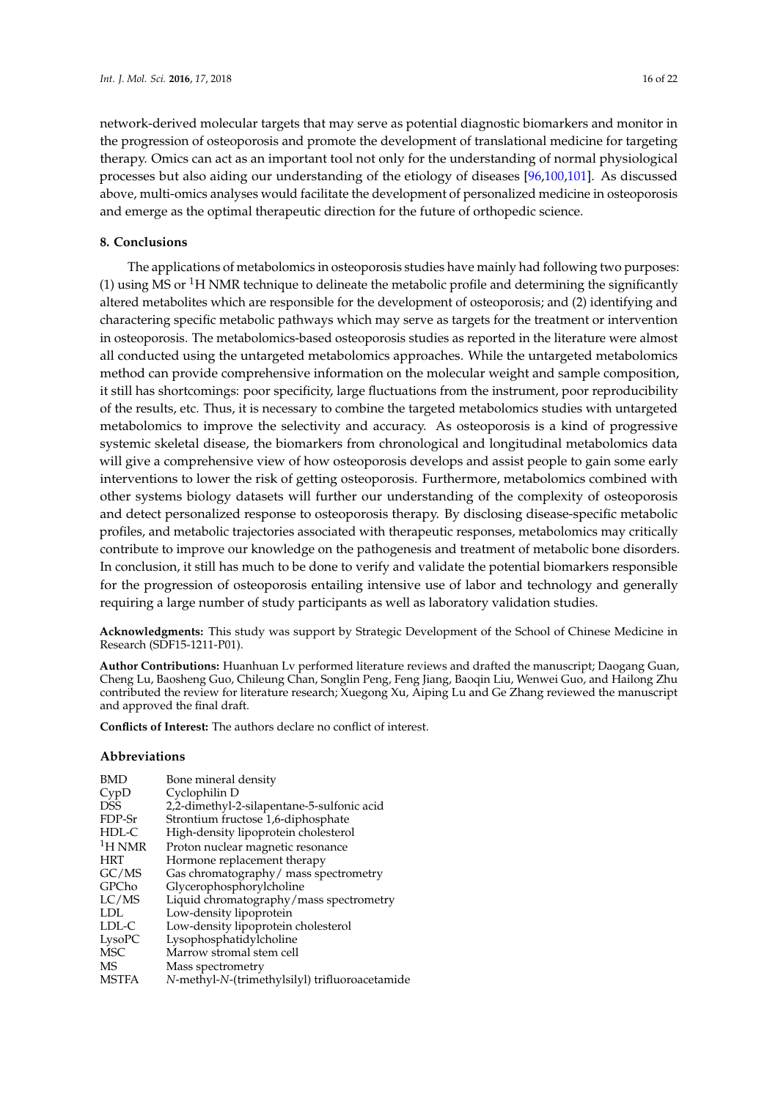network-derived molecular targets that may serve as potential diagnostic biomarkers and monitor in the progression of osteoporosis and promote the development of translational medicine for targeting therapy. Omics can act as an important tool not only for the understanding of normal physiological processes but also aiding our understanding of the etiology of diseases [96,100,101]. As discussed above, multi-omics analyses would facilitate the development of personalized medicine in osteoporosis and emerge as the optimal therapeutic direction for the future of orthopedic science.

### **8. Conclusions**

The applications of metabolomics in osteoporosis studies have mainly had following two purposes: (1) using MS or  ${}^{1}H$  NMR technique to delineate the metabolic profile and determining the significantly altered metabolites which are responsible for the development of osteoporosis; and (2) identifying and charactering specific metabolic pathways which may serve as targets for the treatment or intervention in osteoporosis. The metabolomics-based osteoporosis studies as reported in the literature were almost all conducted using the untargeted metabolomics approaches. While the untargeted metabolomics method can provide comprehensive information on the molecular weight and sample composition, it still has shortcomings: poor specificity, large fluctuations from the instrument, poor reproducibility of the results, etc. Thus, it is necessary to combine the targeted metabolomics studies with untargeted metabolomics to improve the selectivity and accuracy. As osteoporosis is a kind of progressive systemic skeletal disease, the biomarkers from chronological and longitudinal metabolomics data will give a comprehensive view of how osteoporosis develops and assist people to gain some early interventions to lower the risk of getting osteoporosis. Furthermore, metabolomics combined with other systems biology datasets will further our understanding of the complexity of osteoporosis and detect personalized response to osteoporosis therapy. By disclosing disease-specific metabolic profiles, and metabolic trajectories associated with therapeutic responses, metabolomics may critically contribute to improve our knowledge on the pathogenesis and treatment of metabolic bone disorders. In conclusion, it still has much to be done to verify and validate the potential biomarkers responsible for the progression of osteoporosis entailing intensive use of labor and technology and generally requiring a large number of study participants as well as laboratory validation studies.

**Acknowledgments:** This study was support by Strategic Development of the School of Chinese Medicine in Research (SDF15-1211-P01).

**Author Contributions:** Huanhuan Lv performed literature reviews and drafted the manuscript; Daogang Guan, Cheng Lu, Baosheng Guo, Chileung Chan, Songlin Peng, Feng Jiang, Baoqin Liu, Wenwei Guo, and Hailong Zhu contributed the review for literature research; Xuegong Xu, Aiping Lu and Ge Zhang reviewed the manuscript and approved the final draft.

**Conflicts of Interest:** The authors declare no conflict of interest.

#### **Abbreviations**

| <b>BMD</b>    | Bone mineral density                           |
|---------------|------------------------------------------------|
| CypD          | Cyclophilin D                                  |
| <b>DSS</b>    | 2,2-dimethyl-2-silapentane-5-sulfonic acid     |
| FDP-Sr        | Strontium fructose 1,6-diphosphate             |
| HDL-C         | High-density lipoprotein cholesterol           |
| ${}^{1}H$ NMR | Proton nuclear magnetic resonance              |
| <b>HRT</b>    | Hormone replacement therapy                    |
| GC/MS         | Gas chromatography/ mass spectrometry          |
| GPCho         | Glycerophosphorylcholine                       |
| LC/MS         | Liquid chromatography/mass spectrometry        |
| <b>LDL</b>    | Low-density lipoprotein                        |
| LDL-C         | Low-density lipoprotein cholesterol            |
| LysoPC        | Lysophosphatidylcholine                        |
| MSC           | Marrow stromal stem cell                       |
| MS            | Mass spectrometry                              |
| <b>MSTFA</b>  | N-methyl-N-(trimethylsilyl) trifluoroacetamide |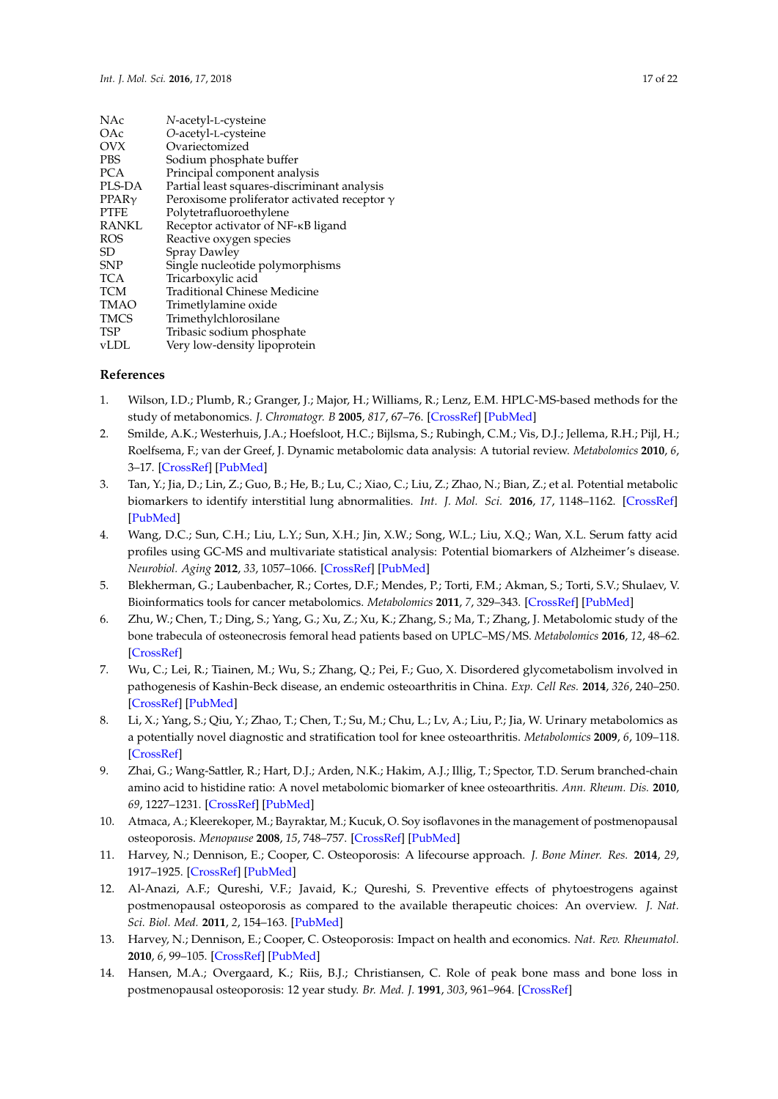| NAc               | N-acetyl-L-cysteine                                 |
|-------------------|-----------------------------------------------------|
| OAc               | O-acetyl-L-cysteine                                 |
| <b>OVX</b>        | Ovariectomized                                      |
| <b>PBS</b>        | Sodium phosphate buffer                             |
| <b>PCA</b>        | Principal component analysis                        |
| PLS-DA            | Partial least squares-discriminant analysis         |
| PPAR <sub>V</sub> | Peroxisome proliferator activated receptor $\gamma$ |
| <b>PTFE</b>       | Polytetrafluoroethylene                             |
| <b>RANKL</b>      | Receptor activator of NF-KB ligand                  |
| <b>ROS</b>        | Reactive oxygen species                             |
| SD                | <b>Spray Dawley</b>                                 |
| <b>SNP</b>        | Single nucleotide polymorphisms                     |
| TCA               | Tricarboxylic acid                                  |
| <b>TCM</b>        | <b>Traditional Chinese Medicine</b>                 |
| <b>TMAO</b>       | Trimetlylamine oxide                                |
| <b>TMCS</b>       | Trimethylchlorosilane                               |
| <b>TSP</b>        | Tribasic sodium phosphate                           |
| vLDL              | Very low-density lipoprotein                        |
|                   |                                                     |

### **References**

- 1. Wilson, I.D.; Plumb, R.; Granger, J.; Major, H.; Williams, R.; Lenz, E.M. HPLC-MS-based methods for the study of metabonomics. *J. Chromatogr. B* **2005**, *817*, 67–76. [\[CrossRef\]](http://dx.doi.org/10.1016/j.jchromb.2004.07.045) [\[PubMed\]](http://www.ncbi.nlm.nih.gov/pubmed/15680789)
- 2. Smilde, A.K.; Westerhuis, J.A.; Hoefsloot, H.C.; Bijlsma, S.; Rubingh, C.M.; Vis, D.J.; Jellema, R.H.; Pijl, H.; Roelfsema, F.; van der Greef, J. Dynamic metabolomic data analysis: A tutorial review. *Metabolomics* **2010**, *6*, 3–17. [\[CrossRef\]](http://dx.doi.org/10.1007/s11306-009-0191-1) [\[PubMed\]](http://www.ncbi.nlm.nih.gov/pubmed/20339444)
- 3. Tan, Y.; Jia, D.; Lin, Z.; Guo, B.; He, B.; Lu, C.; Xiao, C.; Liu, Z.; Zhao, N.; Bian, Z.; et al. Potential metabolic biomarkers to identify interstitial lung abnormalities. *Int. J. Mol. Sci.* **2016**, *17*, 1148–1162. [\[CrossRef\]](http://dx.doi.org/10.3390/ijms17071148) [\[PubMed\]](http://www.ncbi.nlm.nih.gov/pubmed/27438829)
- 4. Wang, D.C.; Sun, C.H.; Liu, L.Y.; Sun, X.H.; Jin, X.W.; Song, W.L.; Liu, X.Q.; Wan, X.L. Serum fatty acid profiles using GC-MS and multivariate statistical analysis: Potential biomarkers of Alzheimer's disease. *Neurobiol. Aging* **2012**, *33*, 1057–1066. [\[CrossRef\]](http://dx.doi.org/10.1016/j.neurobiolaging.2010.09.013) [\[PubMed\]](http://www.ncbi.nlm.nih.gov/pubmed/20980076)
- 5. Blekherman, G.; Laubenbacher, R.; Cortes, D.F.; Mendes, P.; Torti, F.M.; Akman, S.; Torti, S.V.; Shulaev, V. Bioinformatics tools for cancer metabolomics. *Metabolomics* **2011**, *7*, 329–343. [\[CrossRef\]](http://dx.doi.org/10.1007/s11306-010-0270-3) [\[PubMed\]](http://www.ncbi.nlm.nih.gov/pubmed/21949492)
- 6. Zhu, W.; Chen, T.; Ding, S.; Yang, G.; Xu, Z.; Xu, K.; Zhang, S.; Ma, T.; Zhang, J. Metabolomic study of the bone trabecula of osteonecrosis femoral head patients based on UPLC–MS/MS. *Metabolomics* **2016**, *12*, 48–62. [\[CrossRef\]](http://dx.doi.org/10.1007/s11306-016-0965-1)
- 7. Wu, C.; Lei, R.; Tiainen, M.; Wu, S.; Zhang, Q.; Pei, F.; Guo, X. Disordered glycometabolism involved in pathogenesis of Kashin-Beck disease, an endemic osteoarthritis in China. *Exp. Cell Res.* **2014**, *326*, 240–250. [\[CrossRef\]](http://dx.doi.org/10.1016/j.yexcr.2014.04.019) [\[PubMed\]](http://www.ncbi.nlm.nih.gov/pubmed/24792129)
- 8. Li, X.; Yang, S.; Qiu, Y.; Zhao, T.; Chen, T.; Su, M.; Chu, L.; Lv, A.; Liu, P.; Jia, W. Urinary metabolomics as a potentially novel diagnostic and stratification tool for knee osteoarthritis. *Metabolomics* **2009**, *6*, 109–118. [\[CrossRef\]](http://dx.doi.org/10.1007/s11306-009-0184-0)
- 9. Zhai, G.; Wang-Sattler, R.; Hart, D.J.; Arden, N.K.; Hakim, A.J.; Illig, T.; Spector, T.D. Serum branched-chain amino acid to histidine ratio: A novel metabolomic biomarker of knee osteoarthritis. *Ann. Rheum. Dis.* **2010**, *69*, 1227–1231. [\[CrossRef\]](http://dx.doi.org/10.1136/ard.2009.120857) [\[PubMed\]](http://www.ncbi.nlm.nih.gov/pubmed/20388742)
- 10. Atmaca, A.; Kleerekoper, M.; Bayraktar, M.; Kucuk, O. Soy isoflavones in the management of postmenopausal osteoporosis. *Menopause* **2008**, *15*, 748–757. [\[CrossRef\]](http://dx.doi.org/10.1097/gme.0b013e31815c1e7f) [\[PubMed\]](http://www.ncbi.nlm.nih.gov/pubmed/18277912)
- 11. Harvey, N.; Dennison, E.; Cooper, C. Osteoporosis: A lifecourse approach. *J. Bone Miner. Res.* **2014**, *29*, 1917–1925. [\[CrossRef\]](http://dx.doi.org/10.1002/jbmr.2286) [\[PubMed\]](http://www.ncbi.nlm.nih.gov/pubmed/24861883)
- 12. Al-Anazi, A.F.; Qureshi, V.F.; Javaid, K.; Qureshi, S. Preventive effects of phytoestrogens against postmenopausal osteoporosis as compared to the available therapeutic choices: An overview. *J. Nat. Sci. Biol. Med.* **2011**, *2*, 154–163. [\[PubMed\]](http://www.ncbi.nlm.nih.gov/pubmed/22346228)
- 13. Harvey, N.; Dennison, E.; Cooper, C. Osteoporosis: Impact on health and economics. *Nat. Rev. Rheumatol.* **2010**, *6*, 99–105. [\[CrossRef\]](http://dx.doi.org/10.1038/nrrheum.2009.260) [\[PubMed\]](http://www.ncbi.nlm.nih.gov/pubmed/20125177)
- 14. Hansen, M.A.; Overgaard, K.; Riis, B.J.; Christiansen, C. Role of peak bone mass and bone loss in postmenopausal osteoporosis: 12 year study. *Br. Med. J.* **1991**, *303*, 961–964. [\[CrossRef\]](http://dx.doi.org/10.1136/bmj.303.6808.961)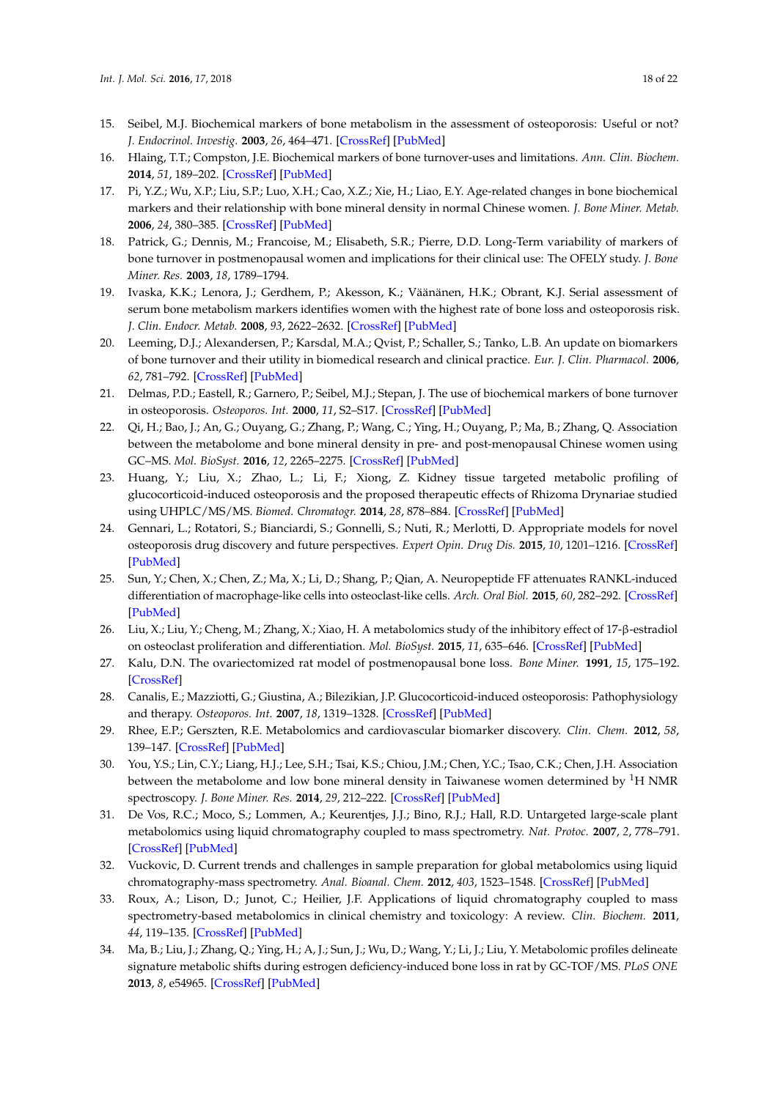- 15. Seibel, M.J. Biochemical markers of bone metabolism in the assessment of osteoporosis: Useful or not? *J. Endocrinol. Investig.* **2003**, *26*, 464–471. [\[CrossRef\]](http://dx.doi.org/10.1007/BF03345204) [\[PubMed\]](http://www.ncbi.nlm.nih.gov/pubmed/12906376)
- 16. Hlaing, T.T.; Compston, J.E. Biochemical markers of bone turnover-uses and limitations. *Ann. Clin. Biochem.* **2014**, *51*, 189–202. [\[CrossRef\]](http://dx.doi.org/10.1177/0004563213515190) [\[PubMed\]](http://www.ncbi.nlm.nih.gov/pubmed/24399365)
- 17. Pi, Y.Z.; Wu, X.P.; Liu, S.P.; Luo, X.H.; Cao, X.Z.; Xie, H.; Liao, E.Y. Age-related changes in bone biochemical markers and their relationship with bone mineral density in normal Chinese women. *J. Bone Miner. Metab.* **2006**, *24*, 380–385. [\[CrossRef\]](http://dx.doi.org/10.1007/s00774-006-0703-2) [\[PubMed\]](http://www.ncbi.nlm.nih.gov/pubmed/16937270)
- 18. Patrick, G.; Dennis, M.; Francoise, M.; Elisabeth, S.R.; Pierre, D.D. Long-Term variability of markers of bone turnover in postmenopausal women and implications for their clinical use: The OFELY study. *J. Bone Miner. Res.* **2003**, *18*, 1789–1794.
- 19. Ivaska, K.K.; Lenora, J.; Gerdhem, P.; Akesson, K.; Väänänen, H.K.; Obrant, K.J. Serial assessment of serum bone metabolism markers identifies women with the highest rate of bone loss and osteoporosis risk. *J. Clin. Endocr. Metab.* **2008**, *93*, 2622–2632. [\[CrossRef\]](http://dx.doi.org/10.1210/jc.2007-1508) [\[PubMed\]](http://www.ncbi.nlm.nih.gov/pubmed/18460567)
- 20. Leeming, D.J.; Alexandersen, P.; Karsdal, M.A.; Qvist, P.; Schaller, S.; Tanko, L.B. An update on biomarkers of bone turnover and their utility in biomedical research and clinical practice. *Eur. J. Clin. Pharmacol.* **2006**, *62*, 781–792. [\[CrossRef\]](http://dx.doi.org/10.1007/s00228-006-0174-3) [\[PubMed\]](http://www.ncbi.nlm.nih.gov/pubmed/16912870)
- 21. Delmas, P.D.; Eastell, R.; Garnero, P.; Seibel, M.J.; Stepan, J. The use of biochemical markers of bone turnover in osteoporosis. *Osteoporos. Int.* **2000**, *11*, S2–S17. [\[CrossRef\]](http://dx.doi.org/10.1007/s001980070002) [\[PubMed\]](http://www.ncbi.nlm.nih.gov/pubmed/11193237)
- 22. Qi, H.; Bao, J.; An, G.; Ouyang, G.; Zhang, P.; Wang, C.; Ying, H.; Ouyang, P.; Ma, B.; Zhang, Q. Association between the metabolome and bone mineral density in pre- and post-menopausal Chinese women using GC–MS. *Mol. BioSyst.* **2016**, *12*, 2265–2275. [\[CrossRef\]](http://dx.doi.org/10.1039/C6MB00181E) [\[PubMed\]](http://www.ncbi.nlm.nih.gov/pubmed/27168060)
- 23. Huang, Y.; Liu, X.; Zhao, L.; Li, F.; Xiong, Z. Kidney tissue targeted metabolic profiling of glucocorticoid-induced osteoporosis and the proposed therapeutic effects of Rhizoma Drynariae studied using UHPLC/MS/MS. *Biomed. Chromatogr.* **2014**, *28*, 878–884. [\[CrossRef\]](http://dx.doi.org/10.1002/bmc.3194) [\[PubMed\]](http://www.ncbi.nlm.nih.gov/pubmed/24861758)
- 24. Gennari, L.; Rotatori, S.; Bianciardi, S.; Gonnelli, S.; Nuti, R.; Merlotti, D. Appropriate models for novel osteoporosis drug discovery and future perspectives. *Expert Opin. Drug Dis.* **2015**, *10*, 1201–1216. [\[CrossRef\]](http://dx.doi.org/10.1517/17460441.2015.1080685) [\[PubMed\]](http://www.ncbi.nlm.nih.gov/pubmed/26292627)
- 25. Sun, Y.; Chen, X.; Chen, Z.; Ma, X.; Li, D.; Shang, P.; Qian, A. Neuropeptide FF attenuates RANKL-induced differentiation of macrophage-like cells into osteoclast-like cells. *Arch. Oral Biol.* **2015**, *60*, 282–292. [\[CrossRef\]](http://dx.doi.org/10.1016/j.archoralbio.2014.11.005) [\[PubMed\]](http://www.ncbi.nlm.nih.gov/pubmed/25463906)
- 26. Liu, X.; Liu, Y.; Cheng, M.; Zhang, X.; Xiao, H. A metabolomics study of the inhibitory effect of 17-β-estradiol on osteoclast proliferation and differentiation. *Mol. BioSyst.* **2015**, *11*, 635–646. [\[CrossRef\]](http://dx.doi.org/10.1039/C4MB00528G) [\[PubMed\]](http://www.ncbi.nlm.nih.gov/pubmed/25474166)
- 27. Kalu, D.N. The ovariectomized rat model of postmenopausal bone loss. *Bone Miner.* **1991**, *15*, 175–192. [\[CrossRef\]](http://dx.doi.org/10.1016/0169-6009(91)90124-I)
- 28. Canalis, E.; Mazziotti, G.; Giustina, A.; Bilezikian, J.P. Glucocorticoid-induced osteoporosis: Pathophysiology and therapy. *Osteoporos. Int.* **2007**, *18*, 1319–1328. [\[CrossRef\]](http://dx.doi.org/10.1007/s00198-007-0394-0) [\[PubMed\]](http://www.ncbi.nlm.nih.gov/pubmed/17566815)
- 29. Rhee, E.P.; Gerszten, R.E. Metabolomics and cardiovascular biomarker discovery. *Clin. Chem.* **2012**, *58*, 139–147. [\[CrossRef\]](http://dx.doi.org/10.1373/clinchem.2011.169573) [\[PubMed\]](http://www.ncbi.nlm.nih.gov/pubmed/22110018)
- 30. You, Y.S.; Lin, C.Y.; Liang, H.J.; Lee, S.H.; Tsai, K.S.; Chiou, J.M.; Chen, Y.C.; Tsao, C.K.; Chen, J.H. Association between the metabolome and low bone mineral density in Taiwanese women determined by  ${}^{1}H$  NMR spectroscopy. *J. Bone Miner. Res.* **2014**, *29*, 212–222. [\[CrossRef\]](http://dx.doi.org/10.1002/jbmr.2018) [\[PubMed\]](http://www.ncbi.nlm.nih.gov/pubmed/23775851)
- 31. De Vos, R.C.; Moco, S.; Lommen, A.; Keurentjes, J.J.; Bino, R.J.; Hall, R.D. Untargeted large-scale plant metabolomics using liquid chromatography coupled to mass spectrometry. *Nat. Protoc.* **2007**, *2*, 778–791. [\[CrossRef\]](http://dx.doi.org/10.1038/nprot.2007.95) [\[PubMed\]](http://www.ncbi.nlm.nih.gov/pubmed/17446877)
- 32. Vuckovic, D. Current trends and challenges in sample preparation for global metabolomics using liquid chromatography-mass spectrometry. *Anal. Bioanal. Chem.* **2012**, *403*, 1523–1548. [\[CrossRef\]](http://dx.doi.org/10.1007/s00216-012-6039-y) [\[PubMed\]](http://www.ncbi.nlm.nih.gov/pubmed/22576654)
- 33. Roux, A.; Lison, D.; Junot, C.; Heilier, J.F. Applications of liquid chromatography coupled to mass spectrometry-based metabolomics in clinical chemistry and toxicology: A review. *Clin. Biochem.* **2011**, *44*, 119–135. [\[CrossRef\]](http://dx.doi.org/10.1016/j.clinbiochem.2010.08.016) [\[PubMed\]](http://www.ncbi.nlm.nih.gov/pubmed/20800591)
- 34. Ma, B.; Liu, J.; Zhang, Q.; Ying, H.; A, J.; Sun, J.; Wu, D.; Wang, Y.; Li, J.; Liu, Y. Metabolomic profiles delineate signature metabolic shifts during estrogen deficiency-induced bone loss in rat by GC-TOF/MS. *PLoS ONE* **2013**, *8*, e54965. [\[CrossRef\]](http://dx.doi.org/10.1371/journal.pone.0054965) [\[PubMed\]](http://www.ncbi.nlm.nih.gov/pubmed/23408954)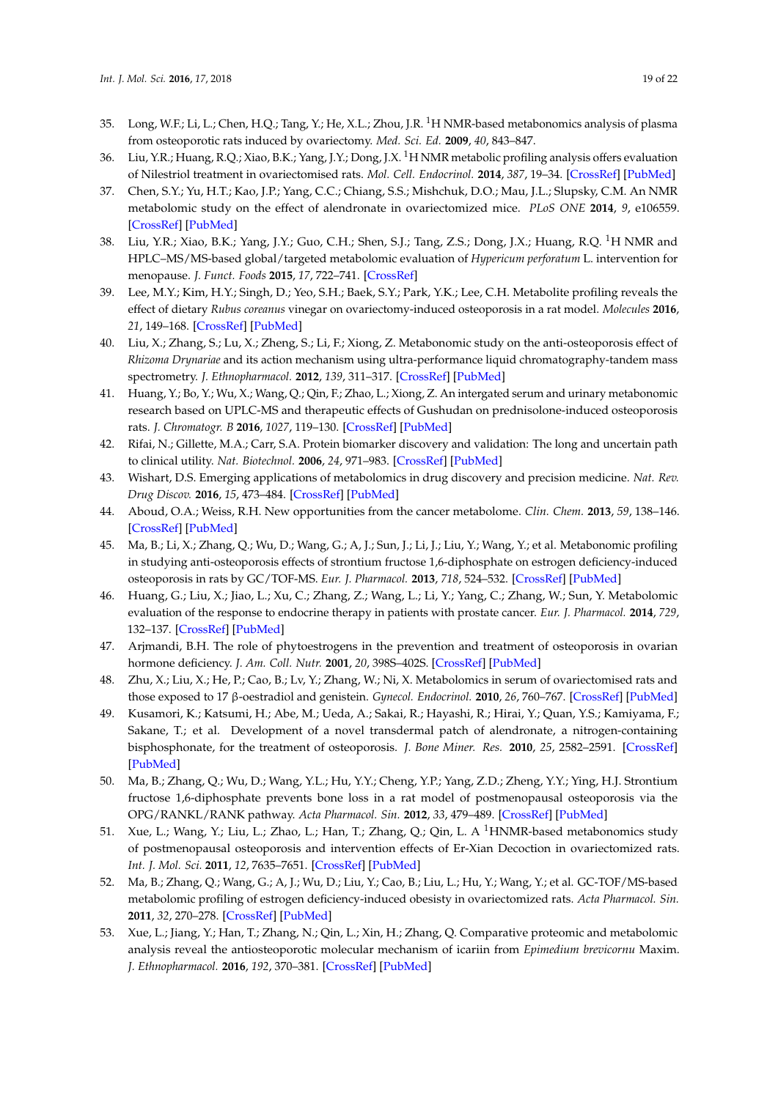- 35. Long, W.F.; Li, L.; Chen, H.Q.; Tang, Y.; He, X.L.; Zhou, J.R.  $^{1}$ H NMR-based metabonomics analysis of plasma from osteoporotic rats induced by ovariectomy. *Med. Sci. Ed.* **2009**, *40*, 843–847.
- 36. Liu, Y.R.; Huang, R.Q.; Xiao, B.K.; Yang, J.Y.; Dong, J.X. <sup>1</sup>H NMR metabolic profiling analysis offers evaluation of Nilestriol treatment in ovariectomised rats. *Mol. Cell. Endocrinol.* **2014**, *387*, 19–34. [\[CrossRef\]](http://dx.doi.org/10.1016/j.mce.2014.02.007) [\[PubMed\]](http://www.ncbi.nlm.nih.gov/pubmed/24565896)
- 37. Chen, S.Y.; Yu, H.T.; Kao, J.P.; Yang, C.C.; Chiang, S.S.; Mishchuk, D.O.; Mau, J.L.; Slupsky, C.M. An NMR metabolomic study on the effect of alendronate in ovariectomized mice. *PLoS ONE* **2014**, *9*, e106559. [\[CrossRef\]](http://dx.doi.org/10.1371/journal.pone.0106559) [\[PubMed\]](http://www.ncbi.nlm.nih.gov/pubmed/25184758)
- 38. Liu, Y.R.; Xiao, B.K.; Yang, J.Y.; Guo, C.H.; Shen, S.J.; Tang, Z.S.; Dong, J.X.; Huang, R.Q. <sup>1</sup>H NMR and HPLC–MS/MS-based global/targeted metabolomic evaluation of *Hypericum perforatum* L. intervention for menopause. *J. Funct. Foods* **2015**, *17*, 722–741. [\[CrossRef\]](http://dx.doi.org/10.1016/j.jff.2015.06.023)
- 39. Lee, M.Y.; Kim, H.Y.; Singh, D.; Yeo, S.H.; Baek, S.Y.; Park, Y.K.; Lee, C.H. Metabolite profiling reveals the effect of dietary *Rubus coreanus* vinegar on ovariectomy-induced osteoporosis in a rat model. *Molecules* **2016**, *21*, 149–168. [\[CrossRef\]](http://dx.doi.org/10.3390/molecules21020149) [\[PubMed\]](http://www.ncbi.nlm.nih.gov/pubmed/26821009)
- 40. Liu, X.; Zhang, S.; Lu, X.; Zheng, S.; Li, F.; Xiong, Z. Metabonomic study on the anti-osteoporosis effect of *Rhizoma Drynariae* and its action mechanism using ultra-performance liquid chromatography-tandem mass spectrometry. *J. Ethnopharmacol.* **2012**, *139*, 311–317. [\[CrossRef\]](http://dx.doi.org/10.1016/j.jep.2011.11.017) [\[PubMed\]](http://www.ncbi.nlm.nih.gov/pubmed/22120013)
- 41. Huang, Y.; Bo, Y.; Wu, X.; Wang, Q.; Qin, F.; Zhao, L.; Xiong, Z. An intergated serum and urinary metabonomic research based on UPLC-MS and therapeutic effects of Gushudan on prednisolone-induced osteoporosis rats. *J. Chromatogr. B* **2016**, *1027*, 119–130. [\[CrossRef\]](http://dx.doi.org/10.1016/j.jchromb.2016.05.019) [\[PubMed\]](http://www.ncbi.nlm.nih.gov/pubmed/27281385)
- 42. Rifai, N.; Gillette, M.A.; Carr, S.A. Protein biomarker discovery and validation: The long and uncertain path to clinical utility. *Nat. Biotechnol.* **2006**, *24*, 971–983. [\[CrossRef\]](http://dx.doi.org/10.1038/nbt1235) [\[PubMed\]](http://www.ncbi.nlm.nih.gov/pubmed/16900146)
- 43. Wishart, D.S. Emerging applications of metabolomics in drug discovery and precision medicine. *Nat. Rev. Drug Discov.* **2016**, *15*, 473–484. [\[CrossRef\]](http://dx.doi.org/10.1038/nrd.2016.32) [\[PubMed\]](http://www.ncbi.nlm.nih.gov/pubmed/26965202)
- 44. Aboud, O.A.; Weiss, R.H. New opportunities from the cancer metabolome. *Clin. Chem.* **2013**, *59*, 138–146. [\[CrossRef\]](http://dx.doi.org/10.1373/clinchem.2012.184598) [\[PubMed\]](http://www.ncbi.nlm.nih.gov/pubmed/23150057)
- 45. Ma, B.; Li, X.; Zhang, Q.; Wu, D.; Wang, G.; A, J.; Sun, J.; Li, J.; Liu, Y.; Wang, Y.; et al. Metabonomic profiling in studying anti-osteoporosis effects of strontium fructose 1,6-diphosphate on estrogen deficiency-induced osteoporosis in rats by GC/TOF-MS. *Eur. J. Pharmacol.* **2013**, *718*, 524–532. [\[CrossRef\]](http://dx.doi.org/10.1016/j.ejphar.2013.06.030) [\[PubMed\]](http://www.ncbi.nlm.nih.gov/pubmed/23872379)
- 46. Huang, G.; Liu, X.; Jiao, L.; Xu, C.; Zhang, Z.; Wang, L.; Li, Y.; Yang, C.; Zhang, W.; Sun, Y. Metabolomic evaluation of the response to endocrine therapy in patients with prostate cancer. *Eur. J. Pharmacol.* **2014**, *729*, 132–137. [\[CrossRef\]](http://dx.doi.org/10.1016/j.ejphar.2014.01.048) [\[PubMed\]](http://www.ncbi.nlm.nih.gov/pubmed/24556387)
- 47. Arjmandi, B.H. The role of phytoestrogens in the prevention and treatment of osteoporosis in ovarian hormone deficiency. *J. Am. Coll. Nutr.* **2001**, *20*, 398S–402S. [\[CrossRef\]](http://dx.doi.org/10.1080/07315724.2001.10719175) [\[PubMed\]](http://www.ncbi.nlm.nih.gov/pubmed/11603649)
- 48. Zhu, X.; Liu, X.; He, P.; Cao, B.; Lv, Y.; Zhang, W.; Ni, X. Metabolomics in serum of ovariectomised rats and those exposed to 17 β-oestradiol and genistein. *Gynecol. Endocrinol.* **2010**, *26*, 760–767. [\[CrossRef\]](http://dx.doi.org/10.3109/09513590.2010.487615) [\[PubMed\]](http://www.ncbi.nlm.nih.gov/pubmed/20500111)
- 49. Kusamori, K.; Katsumi, H.; Abe, M.; Ueda, A.; Sakai, R.; Hayashi, R.; Hirai, Y.; Quan, Y.S.; Kamiyama, F.; Sakane, T.; et al. Development of a novel transdermal patch of alendronate, a nitrogen-containing bisphosphonate, for the treatment of osteoporosis. *J. Bone Miner. Res.* **2010**, *25*, 2582–2591. [\[CrossRef\]](http://dx.doi.org/10.1002/jbmr.147) [\[PubMed\]](http://www.ncbi.nlm.nih.gov/pubmed/20533374)
- 50. Ma, B.; Zhang, Q.; Wu, D.; Wang, Y.L.; Hu, Y.Y.; Cheng, Y.P.; Yang, Z.D.; Zheng, Y.Y.; Ying, H.J. Strontium fructose 1,6-diphosphate prevents bone loss in a rat model of postmenopausal osteoporosis via the OPG/RANKL/RANK pathway. *Acta Pharmacol. Sin.* **2012**, *33*, 479–489. [\[CrossRef\]](http://dx.doi.org/10.1038/aps.2011.177) [\[PubMed\]](http://www.ncbi.nlm.nih.gov/pubmed/22426695)
- 51. Xue, L.; Wang, Y.; Liu, L.; Zhao, L.; Han, T.; Zhang, Q.; Qin, L. A <sup>1</sup>HNMR-based metabonomics study of postmenopausal osteoporosis and intervention effects of Er-Xian Decoction in ovariectomized rats. *Int. J. Mol. Sci.* **2011**, *12*, 7635–7651. [\[CrossRef\]](http://dx.doi.org/10.3390/ijms12117635) [\[PubMed\]](http://www.ncbi.nlm.nih.gov/pubmed/22174622)
- 52. Ma, B.; Zhang, Q.; Wang, G.; A, J.; Wu, D.; Liu, Y.; Cao, B.; Liu, L.; Hu, Y.; Wang, Y.; et al. GC-TOF/MS-based metabolomic profiling of estrogen deficiency-induced obesisty in ovariectomized rats. *Acta Pharmacol. Sin.* **2011**, *32*, 270–278. [\[CrossRef\]](http://dx.doi.org/10.1038/aps.2010.196) [\[PubMed\]](http://www.ncbi.nlm.nih.gov/pubmed/21293480)
- 53. Xue, L.; Jiang, Y.; Han, T.; Zhang, N.; Qin, L.; Xin, H.; Zhang, Q. Comparative proteomic and metabolomic analysis reveal the antiosteoporotic molecular mechanism of icariin from *Epimedium brevicornu* Maxim. *J. Ethnopharmacol.* **2016**, *192*, 370–381. [\[CrossRef\]](http://dx.doi.org/10.1016/j.jep.2016.07.037) [\[PubMed\]](http://www.ncbi.nlm.nih.gov/pubmed/27422162)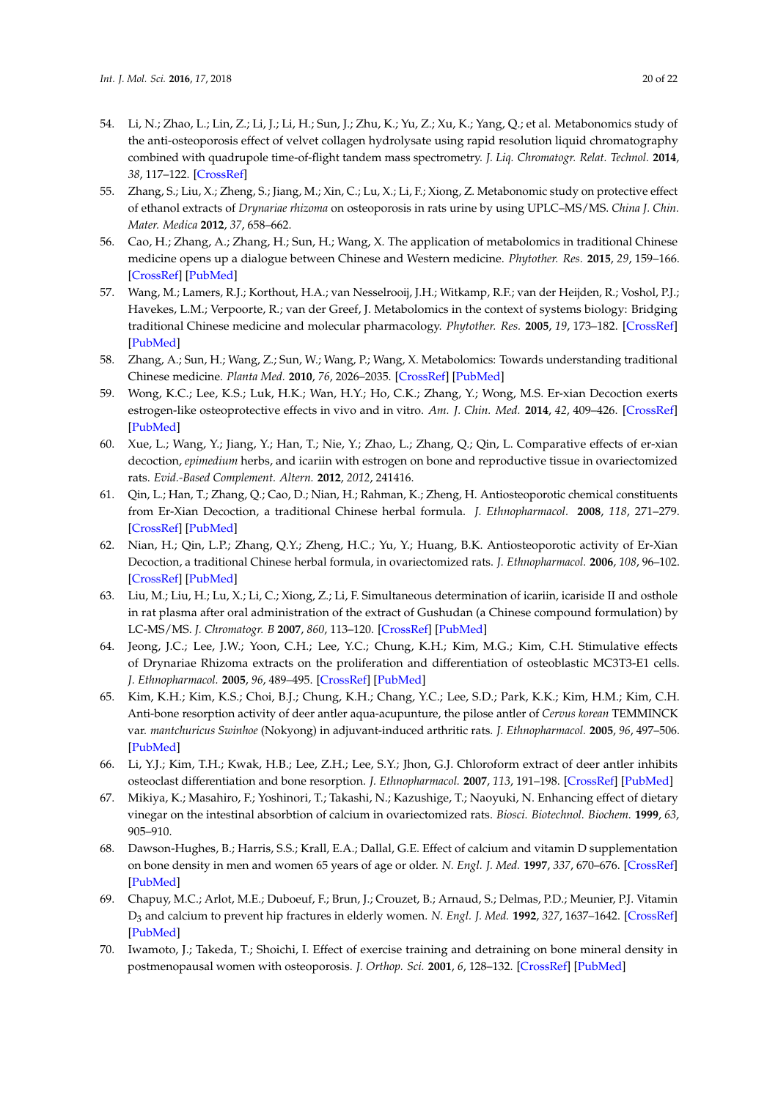- 54. Li, N.; Zhao, L.; Lin, Z.; Li, J.; Li, H.; Sun, J.; Zhu, K.; Yu, Z.; Xu, K.; Yang, Q.; et al. Metabonomics study of the anti-osteoporosis effect of velvet collagen hydrolysate using rapid resolution liquid chromatography combined with quadrupole time-of-flight tandem mass spectrometry. *J. Liq. Chromatogr. Relat. Technol.* **2014**, *38*, 117–122. [\[CrossRef\]](http://dx.doi.org/10.1080/10826076.2014.883540)
- 55. Zhang, S.; Liu, X.; Zheng, S.; Jiang, M.; Xin, C.; Lu, X.; Li, F.; Xiong, Z. Metabonomic study on protective effect of ethanol extracts of *Drynariae rhizoma* on osteoporosis in rats urine by using UPLC–MS/MS. *China J. Chin. Mater. Medica* **2012**, *37*, 658–662.
- 56. Cao, H.; Zhang, A.; Zhang, H.; Sun, H.; Wang, X. The application of metabolomics in traditional Chinese medicine opens up a dialogue between Chinese and Western medicine. *Phytother. Res.* **2015**, *29*, 159–166. [\[CrossRef\]](http://dx.doi.org/10.1002/ptr.5240) [\[PubMed\]](http://www.ncbi.nlm.nih.gov/pubmed/25331169)
- 57. Wang, M.; Lamers, R.J.; Korthout, H.A.; van Nesselrooij, J.H.; Witkamp, R.F.; van der Heijden, R.; Voshol, P.J.; Havekes, L.M.; Verpoorte, R.; van der Greef, J. Metabolomics in the context of systems biology: Bridging traditional Chinese medicine and molecular pharmacology. *Phytother. Res.* **2005**, *19*, 173–182. [\[CrossRef\]](http://dx.doi.org/10.1002/ptr.1624) [\[PubMed\]](http://www.ncbi.nlm.nih.gov/pubmed/15934013)
- 58. Zhang, A.; Sun, H.; Wang, Z.; Sun, W.; Wang, P.; Wang, X. Metabolomics: Towards understanding traditional Chinese medicine. *Planta Med.* **2010**, *76*, 2026–2035. [\[CrossRef\]](http://dx.doi.org/10.1055/s-0030-1250542) [\[PubMed\]](http://www.ncbi.nlm.nih.gov/pubmed/21058239)
- 59. Wong, K.C.; Lee, K.S.; Luk, H.K.; Wan, H.Y.; Ho, C.K.; Zhang, Y.; Wong, M.S. Er-xian Decoction exerts estrogen-like osteoprotective effects in vivo and in vitro. *Am. J. Chin. Med.* **2014**, *42*, 409–426. [\[CrossRef\]](http://dx.doi.org/10.1142/S0192415X1450027X) [\[PubMed\]](http://www.ncbi.nlm.nih.gov/pubmed/24707871)
- 60. Xue, L.; Wang, Y.; Jiang, Y.; Han, T.; Nie, Y.; Zhao, L.; Zhang, Q.; Qin, L. Comparative effects of er-xian decoction, *epimedium* herbs, and icariin with estrogen on bone and reproductive tissue in ovariectomized rats. *Evid.-Based Complement. Altern.* **2012**, *2012*, 241416.
- 61. Qin, L.; Han, T.; Zhang, Q.; Cao, D.; Nian, H.; Rahman, K.; Zheng, H. Antiosteoporotic chemical constituents from Er-Xian Decoction, a traditional Chinese herbal formula. *J. Ethnopharmacol.* **2008**, *118*, 271–279. [\[CrossRef\]](http://dx.doi.org/10.1016/j.jep.2008.04.009) [\[PubMed\]](http://www.ncbi.nlm.nih.gov/pubmed/18501540)
- 62. Nian, H.; Qin, L.P.; Zhang, Q.Y.; Zheng, H.C.; Yu, Y.; Huang, B.K. Antiosteoporotic activity of Er-Xian Decoction, a traditional Chinese herbal formula, in ovariectomized rats. *J. Ethnopharmacol.* **2006**, *108*, 96–102. [\[CrossRef\]](http://dx.doi.org/10.1016/j.jep.2006.04.020) [\[PubMed\]](http://www.ncbi.nlm.nih.gov/pubmed/16765003)
- 63. Liu, M.; Liu, H.; Lu, X.; Li, C.; Xiong, Z.; Li, F. Simultaneous determination of icariin, icariside II and osthole in rat plasma after oral administration of the extract of Gushudan (a Chinese compound formulation) by LC-MS/MS. *J. Chromatogr. B* **2007**, *860*, 113–120. [\[CrossRef\]](http://dx.doi.org/10.1016/j.jchromb.2007.10.019) [\[PubMed\]](http://www.ncbi.nlm.nih.gov/pubmed/18006391)
- 64. Jeong, J.C.; Lee, J.W.; Yoon, C.H.; Lee, Y.C.; Chung, K.H.; Kim, M.G.; Kim, C.H. Stimulative effects of Drynariae Rhizoma extracts on the proliferation and differentiation of osteoblastic MC3T3-E1 cells. *J. Ethnopharmacol.* **2005**, *96*, 489–495. [\[CrossRef\]](http://dx.doi.org/10.1016/j.jep.2004.09.038) [\[PubMed\]](http://www.ncbi.nlm.nih.gov/pubmed/15619569)
- 65. Kim, K.H.; Kim, K.S.; Choi, B.J.; Chung, K.H.; Chang, Y.C.; Lee, S.D.; Park, K.K.; Kim, H.M.; Kim, C.H. Anti-bone resorption activity of deer antler aqua-acupunture, the pilose antler of *Cervus korean* TEMMINCK var. *mantchuricus Swinhoe* (Nokyong) in adjuvant-induced arthritic rats. *J. Ethnopharmacol.* **2005**, *96*, 497–506. [\[PubMed\]](http://www.ncbi.nlm.nih.gov/pubmed/15619570)
- 66. Li, Y.J.; Kim, T.H.; Kwak, H.B.; Lee, Z.H.; Lee, S.Y.; Jhon, G.J. Chloroform extract of deer antler inhibits osteoclast differentiation and bone resorption. *J. Ethnopharmacol.* **2007**, *113*, 191–198. [\[CrossRef\]](http://dx.doi.org/10.1016/j.jep.2007.04.020) [\[PubMed\]](http://www.ncbi.nlm.nih.gov/pubmed/17646068)
- 67. Mikiya, K.; Masahiro, F.; Yoshinori, T.; Takashi, N.; Kazushige, T.; Naoyuki, N. Enhancing effect of dietary vinegar on the intestinal absorbtion of calcium in ovariectomized rats. *Biosci. Biotechnol. Biochem.* **1999**, *63*, 905–910.
- 68. Dawson-Hughes, B.; Harris, S.S.; Krall, E.A.; Dallal, G.E. Effect of calcium and vitamin D supplementation on bone density in men and women 65 years of age or older. *N. Engl. J. Med.* **1997**, *337*, 670–676. [\[CrossRef\]](http://dx.doi.org/10.1056/NEJM199709043371003) [\[PubMed\]](http://www.ncbi.nlm.nih.gov/pubmed/9278463)
- 69. Chapuy, M.C.; Arlot, M.E.; Duboeuf, F.; Brun, J.; Crouzet, B.; Arnaud, S.; Delmas, P.D.; Meunier, P.J. Vitamin D<sup>3</sup> and calcium to prevent hip fractures in elderly women. *N. Engl. J. Med.* **1992**, *327*, 1637–1642. [\[CrossRef\]](http://dx.doi.org/10.1056/NEJM199212033272305) [\[PubMed\]](http://www.ncbi.nlm.nih.gov/pubmed/1331788)
- 70. Iwamoto, J.; Takeda, T.; Shoichi, I. Effect of exercise training and detraining on bone mineral density in postmenopausal women with osteoporosis. *J. Orthop. Sci.* **2001**, *6*, 128–132. [\[CrossRef\]](http://dx.doi.org/10.1007/s007760100059) [\[PubMed\]](http://www.ncbi.nlm.nih.gov/pubmed/11484097)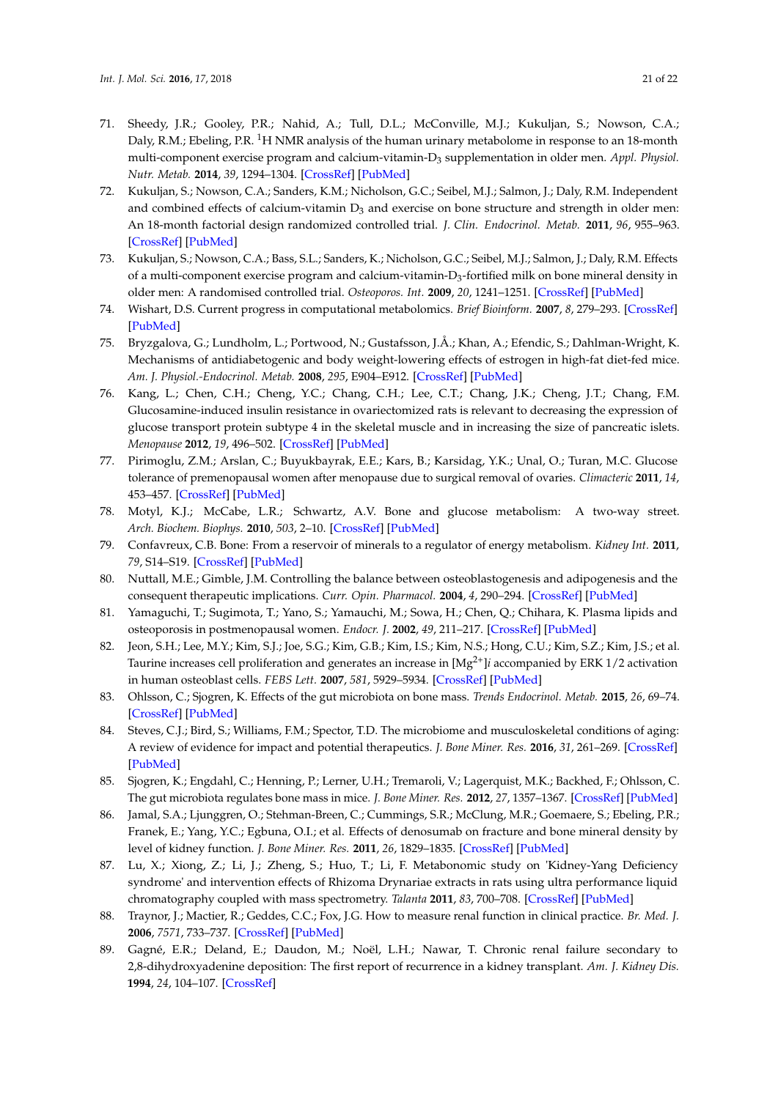- 71. Sheedy, J.R.; Gooley, P.R.; Nahid, A.; Tull, D.L.; McConville, M.J.; Kukuljan, S.; Nowson, C.A.; Daly, R.M.; Ebeling, P.R. <sup>1</sup>H NMR analysis of the human urinary metabolome in response to an 18-month multi-component exercise program and calcium-vitamin-D<sup>3</sup> supplementation in older men. *Appl. Physiol. Nutr. Metab.* **2014**, *39*, 1294–1304. [\[CrossRef\]](http://dx.doi.org/10.1139/apnm-2014-0060) [\[PubMed\]](http://www.ncbi.nlm.nih.gov/pubmed/25198310)
- 72. Kukuljan, S.; Nowson, C.A.; Sanders, K.M.; Nicholson, G.C.; Seibel, M.J.; Salmon, J.; Daly, R.M. Independent and combined effects of calcium-vitamin  $D_3$  and exercise on bone structure and strength in older men: An 18-month factorial design randomized controlled trial. *J. Clin. Endocrinol. Metab.* **2011**, *96*, 955–963. [\[CrossRef\]](http://dx.doi.org/10.1210/jc.2010-2284) [\[PubMed\]](http://www.ncbi.nlm.nih.gov/pubmed/21209030)
- 73. Kukuljan, S.; Nowson, C.A.; Bass, S.L.; Sanders, K.; Nicholson, G.C.; Seibel, M.J.; Salmon, J.; Daly, R.M. Effects of a multi-component exercise program and calcium-vitamin-D $_3$ -fortified milk on bone mineral density in older men: A randomised controlled trial. *Osteoporos. Int.* **2009**, *20*, 1241–1251. [\[CrossRef\]](http://dx.doi.org/10.1007/s00198-008-0776-y) [\[PubMed\]](http://www.ncbi.nlm.nih.gov/pubmed/18958384)
- 74. Wishart, D.S. Current progress in computational metabolomics. *Brief Bioinform.* **2007**, *8*, 279–293. [\[CrossRef\]](http://dx.doi.org/10.1093/bib/bbm030) [\[PubMed\]](http://www.ncbi.nlm.nih.gov/pubmed/17626065)
- 75. Bryzgalova, G.; Lundholm, L.; Portwood, N.; Gustafsson, J.Å.; Khan, A.; Efendic, S.; Dahlman-Wright, K. Mechanisms of antidiabetogenic and body weight-lowering effects of estrogen in high-fat diet-fed mice. *Am. J. Physiol.-Endocrinol. Metab.* **2008**, *295*, E904–E912. [\[CrossRef\]](http://dx.doi.org/10.1152/ajpendo.90248.2008) [\[PubMed\]](http://www.ncbi.nlm.nih.gov/pubmed/18697913)
- 76. Kang, L.; Chen, C.H.; Cheng, Y.C.; Chang, C.H.; Lee, C.T.; Chang, J.K.; Cheng, J.T.; Chang, F.M. Glucosamine-induced insulin resistance in ovariectomized rats is relevant to decreasing the expression of glucose transport protein subtype 4 in the skeletal muscle and in increasing the size of pancreatic islets. *Menopause* **2012**, *19*, 496–502. [\[CrossRef\]](http://dx.doi.org/10.1097/gme.0b013e31823a40d9) [\[PubMed\]](http://www.ncbi.nlm.nih.gov/pubmed/22240637)
- 77. Pirimoglu, Z.M.; Arslan, C.; Buyukbayrak, E.E.; Kars, B.; Karsidag, Y.K.; Unal, O.; Turan, M.C. Glucose tolerance of premenopausal women after menopause due to surgical removal of ovaries. *Climacteric* **2011**, *14*, 453–457. [\[CrossRef\]](http://dx.doi.org/10.3109/13697137.2010.539723) [\[PubMed\]](http://www.ncbi.nlm.nih.gov/pubmed/21271939)
- 78. Motyl, K.J.; McCabe, L.R.; Schwartz, A.V. Bone and glucose metabolism: A two-way street. *Arch. Biochem. Biophys.* **2010**, *503*, 2–10. [\[CrossRef\]](http://dx.doi.org/10.1016/j.abb.2010.07.030) [\[PubMed\]](http://www.ncbi.nlm.nih.gov/pubmed/20682281)
- 79. Confavreux, C.B. Bone: From a reservoir of minerals to a regulator of energy metabolism. *Kidney Int.* **2011**, *79*, S14–S19. [\[CrossRef\]](http://dx.doi.org/10.1038/ki.2011.25) [\[PubMed\]](http://www.ncbi.nlm.nih.gov/pubmed/26746856)
- 80. Nuttall, M.E.; Gimble, J.M. Controlling the balance between osteoblastogenesis and adipogenesis and the consequent therapeutic implications. *Curr. Opin. Pharmacol.* **2004**, *4*, 290–294. [\[CrossRef\]](http://dx.doi.org/10.1016/j.coph.2004.03.002) [\[PubMed\]](http://www.ncbi.nlm.nih.gov/pubmed/15140422)
- 81. Yamaguchi, T.; Sugimota, T.; Yano, S.; Yamauchi, M.; Sowa, H.; Chen, Q.; Chihara, K. Plasma lipids and osteoporosis in postmenopausal women. *Endocr. J.* **2002**, *49*, 211–217. [\[CrossRef\]](http://dx.doi.org/10.1507/endocrj.49.211) [\[PubMed\]](http://www.ncbi.nlm.nih.gov/pubmed/12081241)
- 82. Jeon, S.H.; Lee, M.Y.; Kim, S.J.; Joe, S.G.; Kim, G.B.; Kim, I.S.; Kim, N.S.; Hong, C.U.; Kim, S.Z.; Kim, J.S.; et al. Taurine increases cell proliferation and generates an increase in [Mg2+]*i* accompanied by ERK 1/2 activation in human osteoblast cells. *FEBS Lett.* **2007**, *581*, 5929–5934. [\[CrossRef\]](http://dx.doi.org/10.1016/j.febslet.2007.11.035) [\[PubMed\]](http://www.ncbi.nlm.nih.gov/pubmed/18036343)
- 83. Ohlsson, C.; Sjogren, K. Effects of the gut microbiota on bone mass. *Trends Endocrinol. Metab.* **2015**, *26*, 69–74. [\[CrossRef\]](http://dx.doi.org/10.1016/j.tem.2014.11.004) [\[PubMed\]](http://www.ncbi.nlm.nih.gov/pubmed/25497348)
- 84. Steves, C.J.; Bird, S.; Williams, F.M.; Spector, T.D. The microbiome and musculoskeletal conditions of aging: A review of evidence for impact and potential therapeutics. *J. Bone Miner. Res.* **2016**, *31*, 261–269. [\[CrossRef\]](http://dx.doi.org/10.1002/jbmr.2765) [\[PubMed\]](http://www.ncbi.nlm.nih.gov/pubmed/26676797)
- 85. Sjogren, K.; Engdahl, C.; Henning, P.; Lerner, U.H.; Tremaroli, V.; Lagerquist, M.K.; Backhed, F.; Ohlsson, C. The gut microbiota regulates bone mass in mice. *J. Bone Miner. Res.* **2012**, *27*, 1357–1367. [\[CrossRef\]](http://dx.doi.org/10.1002/jbmr.1588) [\[PubMed\]](http://www.ncbi.nlm.nih.gov/pubmed/22407806)
- 86. Jamal, S.A.; Ljunggren, O.; Stehman-Breen, C.; Cummings, S.R.; McClung, M.R.; Goemaere, S.; Ebeling, P.R.; Franek, E.; Yang, Y.C.; Egbuna, O.I.; et al. Effects of denosumab on fracture and bone mineral density by level of kidney function. *J. Bone Miner. Res.* **2011**, *26*, 1829–1835. [\[CrossRef\]](http://dx.doi.org/10.1002/jbmr.403) [\[PubMed\]](http://www.ncbi.nlm.nih.gov/pubmed/21491487)
- 87. Lu, X.; Xiong, Z.; Li, J.; Zheng, S.; Huo, T.; Li, F. Metabonomic study on 'Kidney-Yang Deficiency syndrome' and intervention effects of Rhizoma Drynariae extracts in rats using ultra performance liquid chromatography coupled with mass spectrometry. *Talanta* **2011**, *83*, 700–708. [\[CrossRef\]](http://dx.doi.org/10.1016/j.talanta.2010.09.026) [\[PubMed\]](http://www.ncbi.nlm.nih.gov/pubmed/21147309)
- 88. Traynor, J.; Mactier, R.; Geddes, C.C.; Fox, J.G. How to measure renal function in clinical practice. *Br. Med. J.* **2006**, *7571*, 733–737. [\[CrossRef\]](http://dx.doi.org/10.1136/bmj.38975.390370.7C) [\[PubMed\]](http://www.ncbi.nlm.nih.gov/pubmed/17023465)
- 89. Gagné, E.R.; Deland, E.; Daudon, M.; Noël, L.H.; Nawar, T. Chronic renal failure secondary to 2,8-dihydroxyadenine deposition: The first report of recurrence in a kidney transplant. *Am. J. Kidney Dis.* **1994**, *24*, 104–107. [\[CrossRef\]](http://dx.doi.org/10.1016/S0272-6386(12)80168-5)